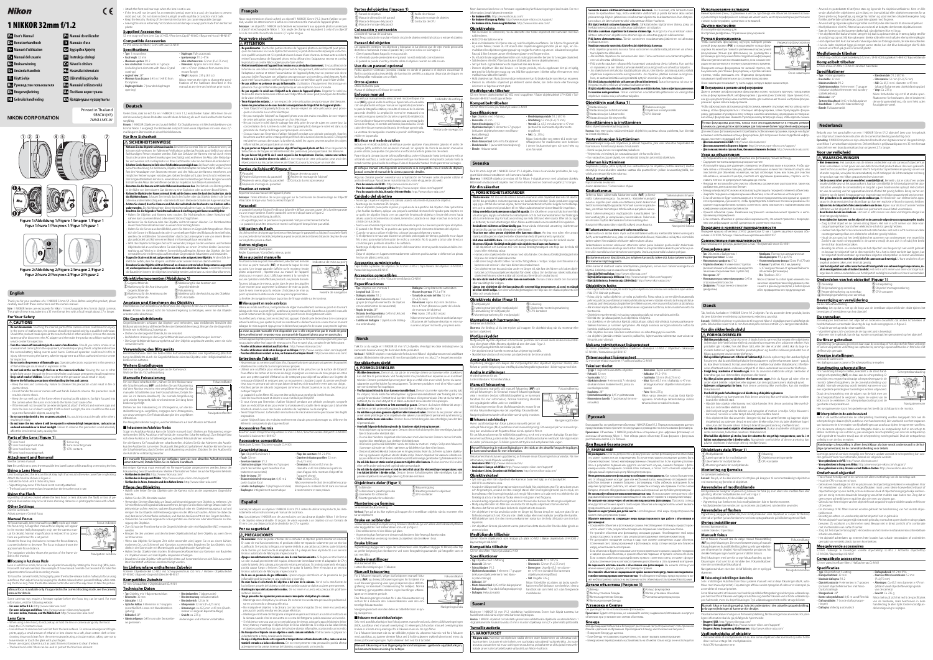| En User's Manual                   |
|------------------------------------|
| De Benutzerhandbuch                |
| <b>ET</b> Manuel d'utilisation     |
| <b>ES</b> Manual del usuario       |
| No Bruksanvisning                  |
| Sv Användarhandbok                 |
| <b>H</b> Käyttöohje                |
| <b>RU</b> Руководство пользователя |
| <b>D</b> k Brugervejledning        |
| <b>MI</b> Gebruiksbandleiding      |

**Nl Gebruikshandleiding**

**NIKON CORPORATION** 

Nous vous remercions d'avoir acheté un objectif 1 NIKKOR 32mm f/1.2. Avant d'utiliser ce produit, veuillez lire attentivement à la fois ces instructions et le manuel de l'appareil photo. Remarque : Les objectifs 1 NIKKOR sont destinés exclusivement aux appareils photo numériques à objectif interchangeable Nikon 1. Son angle de champ est équivalent à celui d'un objectif  $24 \times 36$  mm doté d'une focale environ 2,7  $\times$  plus longue

**Pt Manual do utilizador It Manuale d'uso Gr Εγχειρίδιο Χρήστη Pl Instrukcja obsługi Cz Návod k obsluze Hu Használati útmutató Sk Užívateľská príručka Ro Manualul utilizatorului Ua Посібник користувача Kk Қолданушы нұсқаулығы**

> Printed in Thailand SB3C01(K5) *7MVA13K5-01*

# Nikon

# **1 NIKKOR 32mm f/1.2**

## **Français**

#### **Pour votre sécurité our ATTENTION**

**Ne pas démonter.** Toucher les parties internes de l'appareil photo ou de l'objectif peut pr uer des blessures. En cas de dysfonctionnement, le produit devra être réparé par un tech en qualifié uniquement. Si le produit s'ouvre à cause d'une chute ou de tout autre acc irez l'accumulateur de l'appareil photo et/ou débranchez l'adaptateur secteur et conf roduit à un centre Nikon agréé pour le faire vérifie **Mettre immédiatement l'appareil hors tension en cas de dysfonctionnement.** Si vous détectez d a fumée ou une odeur inhabituelle provenant de l'équipement, débranchez immédia ladaptateur secteur et retirez l'accumulateur de l'appareil photo, tout en prenant soin de n as vous brûler. Poursuivre son utilisation peut provoquer un incendie ou des blessures. Après l pir retiré l'accumulateur, confiez l'équipement à un centre Nikon agréé pour le faire vérifie **le pas utiliser en présence de gaz inflammable.** L'utilisation d'équipement électronique présence d'un gaz infl ammable peut provoquer une explosion ou un incendie. **Ne pas regarder le soleil avec l'objectif ou le viseur de l'appareil photo.** Regarder le soleil

trébucher ou de frapper accidentellement des personnes, provoquant ainsi des blessures. • **Ne pas laisser l'objectif là où il serait exposé à des températures élevées, comme une voiture fermée ou à la lumière directe du soleil.** Le non-respect de cette précaution peut avoir des ssions sur les parties internes de l'objectif, pouvant provoquer un incendie.

q Parasoleil w Repère d'alignement du parasoleil  $\circled{3}$  Repère de verrouillage du parasoleil  $\circled{7}$  Contacts du microprocesseur  $(5)$  Bague de mise au point  $\widetilde{\mathbf{6}}$  Repère de montage de l'objectif

manuel de l'appareil phot Remarque : faites attention de ne pas appuyer sur la commande de déverrouillage de l'objectif

#### rétractable lorsque vous fixez ou retirez l'objectif.

**Parasoleil arasoleil** 'objectif et bloque la lumière diffuse pouvant causer de la lumière pa

• Un vignettage peut se produire si le parasoleil n'est pas correctement attaché. • Le parasoleil peut être retourné et monté sur l'objectif lorsqu'il n'est pas utilisé

#### .<br>Repère de montage du parasolei **Fixation et retrait**

-<br>Fournez le parasoleil jusqu'au déclic.

#### toute autre source lumineuse intense avec l'objectif ou le viseur peut provoquer des troubles de la vision irréversibles. • Le nouveaux processes.<br>**Phir éloigné des enfants.** Le non-respect de cette précaution peut provoquer des bles • **Suivre les précautions ci-dessous lors de la manipulation de l'objectif et de l'appareil photo :**

enir l'objectif et l'appareil photo au sec. Le non-respect de cette précaution peut pro uer un incendie ou un choc électrique. .<br>Je pas manipuler l'objectif ou l'appareil photo avec des mains mouillées. Le non-re

Un phénomène de vignettage (ombres créées lorsque le parasoleil ou l'objectif occulte le flas ou une perte de luminosité périphérique peut se produire à certaines distances de prise de vue

sur les photos prises au flash **Autres réglages utres**  Utilisez l'appareil photo pour : Régler l'ouverture / Contrôler la mise au point **Mise au point manuelle ise** 

de cette précaution peut provoquer un choc électrique. -<br>Ne pas inclure le soleil dans le cadrage lors de la prise de vue de sujets en contre-jour. concentration de la lumière du soleil dans l'appareil photo lorsque le soleil est dans ou à roximité du champ de l'image peut provoquer un incendie. i vous n'avez pas l'intention d'utiliser l'objectif pendant une période prolongée, fixez le bouchons avant et arrière et rangez l'objectif hors de la lumière directe du soleil. Si l'objectif

est laissé en contact direct avec la lumière du soleil, les ravons peuvent toucher des ob inflammables, provoquant ainsi un incendi **Ne pas porter un trépied sur lequel un objectif ou l'appareil photo est fixé. Vous risqueriez d** 

me en mode autofocus, il est possible de régler manuellement la mise au point en tournan la bague de mise au point (M/A ; autofocus à priorité manuelle). L'autofocus à priorité manuelle permet notamment de régler précisément le point lors de l'enregistrement vidéo. Pour effectuer la mise au point en mode photo, appuyez d'abord sur le déclencheur à mi-course pour activer l'autofocus, puis ajustez le point en maintenant le déclencheur à mi-course tout en tournant la bague de mise au point. Appuyez sur le déclencheur jusqu'en fin de course pour prendre la photo. La mise au point manuelle n'est disponible que si elle est permise par le mode de prise de vue sélectionné : reportez-vous au manuel de l'appareil photo pour en savoir plus. Certains appareils photo peuvent nécessiter une mise à jour de firmware (microprogramme) pour qu vous puissiez utiliser leur bague de mise au point. Pour en savoir plus, consultez le site Web suivant :

## **Parties de l'objectif (Figure 1) arties**

Utilisez une soufflette pour enlever la poussière et les peluches sur la surface de l'objectif. Pour effacer les taches et les traces de doigt, imprégnez un morceau de tissu propre en coton avec une petite quantité d'éthanol ou de nettoyant pour objectif ou utilisez une lingette de nettoyage d'objectif, et nettoyez avec un mouvement circulaire à partir du centre vers l'extérieur, tout en prenant soin de ne pas laisser de taches, ni de toucher le verre avec vos doigts. • N'utilisez jamais de solvants organiques comme un diluant à peinture ou du benzène pour

ou une image fantôme. Fixez le parasoleil comme indiqué dans la Figure 2.

Thank you for your purchase of a 1 NIKKOR 32mm f/1.2 lens. Before using this product, please carefully read both these instructions and the camera manual Note: 1 NIKKOR lenses are exclusively for Nikon 1 interchangeable lens format digital camera The angle of view is equivalent to a 35 mm format lens with a focal length about  $2.7 \times$  longer.

## **For Your Safety**

 **CAUTIONS** • **Do not disassemble.** Touching the internal parts of the camera or lens could result in injur In the event of malfunction, the product should be repaired only by a qualified technic Should the product break open as the result of a fall or other accident, remove the can battery and/or disconnect the AC adapter and then take the product to a Nikon-author rvice center for inspection **Turn the camera off immediately in the event of malfunction.** Should you notice smoke or inusual smell coming from the equipment, immediately unplug the AC adapter and rem the camera battery, taking care to avoid burns. Continued operation could result in fire njury. After removing the battery, take the equipment to a Nikon authorized service cen

for inspection. **Do not use in the presence of flammable gas.** Operating electronic equipment in the prese

of flammable gas could result in explosion or fire.<br>• **Do not look at the sun through the lens or the camera viewfinder.** Viewing the sun or other

he lens or viewfinder could cause permane • **Keep out of reach of children.** Failure to observe this precaution could result in injury. • **Observe the following precautions when handling the lens and camera:** keep the lens and camera dry. Failure to observe this precaution could result in fire

de mise au point manuelle (**MF**) et tournez la bague de mise au point. Une image agrandie s'affiche sur le moniteur (mode photo uniquement ; reportez-vous au manuel de l'appareil photo pour en savoir plus). L'affichage revient à la normale si aucune opération n'est effectuée pendant une période donnée Tournez la bague de mise au point dans le sens des aiguilles d'une montre pour augmenter la distance de mise au point, dans le sens inverse pour la réduire. L'indicateur de mise au point représente la distance de mise au point approximative.

La fenêtre de navigation indique la portion de l'image visible sur le moniteur.

■**Mise au point en mode autofocus**

store the lens out of direct sunlight. If left in direct sunlight, the lens could focus the su rs<br>Anto flammable objects, causing fire. • **Do not carry tripods with a lens or camera attached.** You could trip or accidentally strike others,

resulting in injury. • **Do not leave the lens where it will be exposed to extremely high temperatures, such as in an enclosed automobile or in direct sunlight.** Failure to observe this precaution could adv ffect the lens' internal parts, causing fire

**Parts of the Lens (Figure 1)** Lens hood alignment mark  $\mathsf{s})$  Focus ring

Lens mounting mar (7) CPU contacts

**Attachment and Removal** See the camera manual.

 $\overline{\mathbf{B}}$  Lens hood lock mark  $\widetilde{\bf 4}$  Lens hood mounting mark

 $\textcircled{1}$  Lens hood

Note: Be careful not to press the retractable lens barrel button while attaching or removing the lens.

**Using a Lens Hood sing**  is hoods protect the lens and block stray light that would otherwise cause flare or ghosting.

**Other Settings** Use the camera to: Adjust aperture / Control focus

**Manual Focus** 

focus manually, select manual focus (MF) mode and rotate the focus ring. A magnified manual focus display will appear in the monitor (still photography only; see the camera manual for details). Normal magnification is restored if no opera tions are performed for a set period.

• **Pour les utilisateurs résidant aux États-Unis :** http://www.nikonusa.com/

ible in the monitor. ■**Focusing in Autofocus Mode**  • **Pour les utilisateurs résidant en Europe et en Afrique :** http://www.europe-nikon.com/support/ • **Pour les utilisateurs résidant en Asie, en Océanie et au Moyen-Orient :** http://www.nikon-asia.com/

Pour faire la mise au point manuellement, sélectionnez le mode Indicateur de mise au point

focus with manual override). One example of how manual override can be used is to make fine adjustments to focus while recording movies. To focus the camera for still photography, press the shutter-release button halfway to focus using **Entretien de l'objectif ntretien** 

• Ne prenez pas ou ne tenez pas l'objectif ou l'appareil photo en saisissant uniquement le parasoleil.

• Maintenez les contacts du microprocesseur propres.

**Utilisation du flash** 

Some cameras may require a firmware update before the focus ring can be used. For more rmation, visit the following website: • **For users in the U.S.A.:** http://www.nikonusa.com/

#### **Lens Care** • When using a lens hood, do not pick up or hold the lens or camera using only the hood.

nettoyer l'objectif.

Fokusindikat

 $\frac{1}{\sqrt{1}}$ 

 $\sqrt{2}$ 

**Por su seguridad PRECAUCIONES**

• Fixez les bouchons avant et arrière si vous n'utilisez pas l'objectif.

• Si vous n'avez pas l'intention d'utiliser l'objectif pendant une période prolongée, rangez-le dans un endroit frais et sec pour éviter la moisissure et la rouille. Ne le rangez pas à la lumière

directe du soleil ou avec des boules antimites de naphtaline ou de camphre.

• Tenez l'objectif au sec. La formation de rouille sur le mécanisme interne peut causer des dégâts

irréparables.

• Laisser l'objectif dans des endroits extrêmement chauds peut endommager ou déformer les

éléments composés de plastique renforcé.

**Accessoires fournis ccessoires** 

Bouchon avant d'objectif encliquetable 52 mm LC-N52 / Bouchon arrière d'objectif LF-N1000 /

Parasoleil à baïonnette HB-N107 **Accessoires compatibles ccessoires**  Filtres à vis 52 mm / Étui semi-souple CL-N101

**Caractéristiques aractéristiques**

Fenêtre de navigation

 $33$ 

• **No deje el objetivo donde esté expuesto a temperaturas extremadamente altas, como en un automóvil cerrado o a la luz solar directa.** De no tener presente esta precaución podría afect amente las piezas internas del objetivo, ocasionando un incendio.

• Attach the front and rear caps when the lens is not in use. • If the lens will not be used for an extended period, store it in a cool, dry location to prevent mold and rust. Do not store in direct sunlight or with naphtha or camphor moth balls. • Keep the lens dry. Rusting of the internal mechanism can cause irreparable damag • Leaving the lens in extremely hot locations could damage or warp parts made from reinforced

> • Type: Objectif à monture 1 • Focale: 32 mm • Ouverture maximale:  $f/1.2$

• Construction optique: 9 lentilles en 7 groupes (dont des lentilles ayant bénéficié d'un

partir du plan focal Lamelles de diaphragme: 7 (diap

### plastic. **Supplied Accessories upplied**

on Front Lens Cap LC-N52 / Rear Lens Cap LF-N1000 / Bayonet Hood HB-N10 **Compatible Accessories ompatible**  mm screw-on filters / Semi-soft Case CL-N10 **Specifications** • Type: 1 mount lens • Focal length: 32 mm  $\cdot$  Maximum aperture:  $f/1$ . • Lens construction: 9 elements in 7 groups (including lens elements with Nano-Crystal coatings) • Angle of view: 28° • Minimum focus distance: 0.45 m (1.48 ft) from focal plane • Diaphragm: Fully automatic • Aperture range:  $f/1.2-f/16$ • Filter-attachment size: 52 mm (P=0.75 mm) • Dimensions: Approx. 65.5 mm diameter  $\times$  47 mm (distance from camera lens mount flange) • Weight: Approx. 235 g (8.3 oz) Nikon reserves the right to change the spefications of the hardware described in this

> • Plage des ouvertures: f/1.2 à f/16 • Diamètre de fixation pour filtre: 52 mm

• Dimensions: Environ 65,5 mm de diamètre × 47 mm (distance à partir du plan d'appui de la monture d'objectif de

'appareil photo) • Poids: Environ 235 g

Nikon se réserve le droit de modifier les caractéristiques du matériel décrit dans ce manuel

 $(P=0.75$  mm)

## **English**

**Tipo**: Objetivo • Longitud focal: 32 mm • Diafragma máximo: f/1.2

• Construcción de objetivo: 9 elementos en 7 grupos (incluyendo elementos de objetivo n revestimientos de nanocristal)

## • Diafragma: Completamente automático n rosca de 52 mm / Estuche semiblando CL-N10

Takk for at du valgte et 1 NIKKOR 32 mm f/1,2 objektiv. Vennligst les disse instruksjonene og kameraets bruksanvisning før du bruker dette produktet. Merknad: 1 NIKKOR-objektiv er utelukkende for bruk med Nikon 1 digitalkameraer med utskiftbart iv. Bildevinkelen tilsvarer et 35 mm format objektiv med en cirka 2,7  $\times$  lengre brennvidde.

**Må ikke demonteres.** Dersom du tar på de innvendige delene av kameraet eller objektiv n det føre til personskade. Ved funksjonsfeil må produktet kun repareres av en kvalifi kniker. Dersom produktet åpner seg som følge av et fall eller annet uhell, fjerner du kame rabatteriet og/eller kobler fra nettadapteren. Ta deretter produktet med til et Nikon-auto

electric shock.

Do not handle the lens or camera with wet hands. Failure to observe this precaution could result in electric shock. - Keep the sun well out of the frame when shooting backlit subjects. Sunlight focused in the camera when the sun is in or close to the frame could cause a fire the lens will not be used for an extended period, attach the front and

**Ved funksionsfeil må du slå av kameraet umiddelbart.** Dersom du merker røyk eller uvanlig l ra utstyret, må du koble fra nettadapteren og fjerne kamerabatteriet. Vær forsiktig slik at d nngår brannskader. Fortsatt bruk kan føre til brann eller personskade. Etter at du har tatt i batteriet, tar du med utstyret til et Nikon-autorisert servicesenter for inspeksjon.

**Må ikke brukes i nærheten av lett antennelige gasser.** Dersom du bruker elekti nærheten av lett antennelige gasser, kan det føre til eksplosjon eller brann. **Du må ikke se på solen gjennom objektivet eller kameraets søker.** Dersom du ser på solen eller tivet eller søkeren, kan det føre til permanent syn

i en lukket bil eller i direkte sollys. Dersom denne forholdsregelen ikke etterfølges, kan d påvirke objektivets innvendige deler og forårsake en brann.

**j**) Fokuseringsring **6** Påsettingsmerke for objektivet  $\mathcal D$ CPU-kontakter

**Montering og fjerning** Se kameraets bruksanvisning.

**Bruke en solblender** 

Vignettering (skygger som lages der solblenderen eller objektivet skygger til blitsen) eller tap av perifer belysning kan forekomme ved noen fotograferingsavstander på fotografier som er

Attach the hood as shown in Figure 2. • Rotate the hood until it clicks into place.

> **Andre innstillinger** Bruk kameraet til å:

Justere blenderåpningen / Fokusere **Manuell fokusering** 

• Vignetting may occur if the hood is not correctly attached. • The hood can be reversed and mounted on the lens when not in use.

**Using the Flash** 

Vignetting (shadows created where the lens hood or lens obscures the flash) or loss of ne ipheral illumination may occur at some shooting distances in photographs taken with a flash.

> For å fokusere manuelt, velger du funksjonen manuell foku-Fokusindikator sering (**MF**) og dreier på fokuseringsringen. En forstørret ma- $\circledR^3$ nuell fokuseringsvisning vises syne på skjermen (kun stillfotografering; se kameraets bruksanvisning for detaljer). Norma rstørring gjenopprettes dersom ingen handlinger utføres  $\frac{1}{\sqrt{2}}$ Drei fokuseringsringen medurs for å øke fokusavstanden og  $\subseteq$

Selv med autofokusfunksjon kan fokus justeres manuelt ved at du dreier på fokuseringsringer (M/A; autofokus med manuell overstyring). Et eksempel på hvordan manuell overstyring kan brukes er å foreta små justeringer for å fokusere mens du tar opp filmer. For å fokusere kameraet når du tar stillbilder, trykker du utløseren halvveis ned for å fokusere

Rotate the focus ring clockwise to increase the focus distance, counterclockwise to decrease. The focus indicator shows the approximate focus distance. The navigation window shows the portion of the frame vis**Для Вашей безопасности ля Вашей ВНИМАНИЕ Не разбирайте.** Если Вы лотронетесь до внутренних частей фотокамеры или объект это может привести к их повреждению. В случае неисправности изделие должно быть оемонтировано только квалифицированным специалистом. Если изделие разл<mark>о</mark> ось в результате падения или другого несчастного случая, снимите батарею с фот

амеры и/или отсоедините сетевой блок питания, а после этого отнесите изделие официальный сервисный центр Nikon для проверки. емедленно выключите фотокамеру во избежание неисправности. Как только Вы замет .<br>10 т оборудования исходит дым или необычный запах, немедленно отсоедините с ой блок питания и снимите батарею с фотокамеры, чтобы избежать возгорания. Ес зделие продолжит работать, это может привести к пожару или травмам. После снят реи, отнесите оборудование в официальный сервисный центр Nikon для проверки.

**Не используйте вблизи легковоспламеняющегося газа.** Использование электронного об рудования вблизи легковоспламеняющегося газа может привести к взрыву или пожару. **•<br>Не смотрите на солнце через объектив или видоискатель фотокамеры.** Просмотр сол или другого источника яркого света через объектив или видоискатель может вызва продолжительное ухудшение зрения. **(раните в недоступном для детей месте.** Несоблюдение этой меры предосторожн

Even in autofocus mode, focus can be adjusted manually by rotating the focus ring (M/A; auto-

autofocus, then adjust focus by keeping the shutter-release button pressed halfway while rotatng the focus ring. Press the shutter-release button the rest of the way down to take the picture Manual focus is available only if supported in the current shooting mode; see the came manual for details.

может стать результатом травм. братите внимание на следующие меры предосторожности при работе с объективо<mark>л</mark> **фотокамерой:**<br>- Сохраняйте объектив и фотокамеру сухими. Несоблюдение этой меры предосторож-

• **For users in Europe and Africa:** http://www.europe-nikon.com/support/ • **For users in Asia, Oceania, and the Middle East:** http://www.nikon-asia.com/

ости может стать результатом пожара или поражения электрическим током Не трогайте объектив или фотокамеру мокрыми руками. Несоблюдение этой ме предосторожности может стать результатом поражения электрическим током. .<br>Не допускайте попадания солнца в кадр при съемке освещенных сзади объе Солнечный свет, сфокусированный в фотокамере, когда солнце внутри или близ кадру, может вызвать возгорание.

Если объектив не будет использоваться в течение длительного времени, закройте пер и заднюю крышки объектива, и храните объектив подальше от прямого солнечного св Если оставить объектив под воздействием прямого солнечного света, он может с<mark>ф</mark>окус ровать солнечные лучи на легковоспламеняющихся объектах и стать причиной возгора **Не переносите штативы вместе с объективом или фотокамерой.** Вы можете споткну дарить других, что приведет <mark>к тра</mark> • **Не оставляйте объектив не защищенным от крайне высоких температур, таких как в закрытом ав-**

### **мобиле или под прямым солнечным светом.** Несоблюдение этой меры предосторожности и .<br>«теблагоприятно сказаться на внутренних частях объектива и стать причиной возгоран

• Keep the CPU contacts clean. • Use a blower to remove dust and lint from the lens surfaces. To remove smudges and finger prints, apply a small amount of ethanol or lens cleaner to a soft, clean cotton cloth or lenscleaning tissue and clean from the center outwards using a circular motion, taking care not to leave smears or touch the glass with your fingers. • Never use organic solvents such as paint thinner or benzene to clean the lens.

• The lens hood or NC filters can be used to protect the front lens element.

.<br>Метка закрепления блендь (4) Метка крепления бленды (7) Контакты микропроцессора **Установка и Снятие становка** 

**Español**

Gracias por adquirir un objetivo 1 NIKKOR 32mm f/1.2. Antes de utilizar este producto, lea dete-

nidamente estas instrucciones y el manual de la cámara.

tico autorizado de Nikon para inspeccionarlo.

amable podría resultar en una explosión o incendio

- Mantenga seco el objetivo y la cámara. De no tener en cue

• Himmennin: Täysin automaattinen • Aukkoalue: f/1.2–f/16  $\cdot$  Suodinkoko: 52 mm (P=0.75 mm) • Mitat: Noin 65,5 mm:n halkaisija  $\times$  47 mm

Nota: Los objetivos 1 NIKKOR son de uso exclusivo con las cámaras digitales Nikon 1 de formato de objetivo intercambiable. El ángulo de visión equivale a un objetivo con un formato de

**lo desarmar.** Tocar las piezas internas de la cámara o el objetivo podría resultar en lesio aso de mal funcionamiento, el producto debe ser reparado solamente por un técn ualificado. Si el producto llegara a romperse debido a una caída o accidente, quite la bat de la cámara y/o desconecte el adaptador de CA y después lleve el producto a un serv

**baque inmediatamente la cámara en caso de mal funcionamiento.** Si llegara a notar hum olor inusual proveniente del equipo, desconecte inmediatamente el adaptador de CA y itte la batería de la cámara, procurando evitar quemaduras. Si continúa operando el equi potría causar fuego o lesiones. Después de quitar la batería, lleve el equipo a un servi

**No lo use en presencia de gas inflamable.** Operar equipo electrónico en la presencia de g

**lo mire hacia el sol a través del objetivo o del visor de la cámara.** Ver el sol u otra fuente illante a través del obietivo o del visor podría ocasionar daños oculares permanen **Manténgalo lejos del alcance de los niños.** De no tener en cuenta esta precaución podría r

No manipule el objetivo ni la cámara con las manos mojadas. De no tener en cuenta e

Mantenga el sol fuera del fotograma al disparar a sujetos a contraluz. La luz del sol enfocada la cámara cuando el sol se encuentra en o cerca del fotograma podría ocasionar un incendi i el objetivo no se va a usar por un periodo largo de tiempo, coloque la tapa del objetivo d tera y trasera y mantenga el objetivo lejos de la luz solar directa. Si lo deja a la luz solar directa, el objetivo podría enfocar los rayos del sol sobre objetos inflamables, ocasionando un incendio. **No transporte el trípode con un objetivo o con la cámara instalada. Podría caerse o golpear a** 

35 mm con una distancia focal de alrededor de 2,7 × superior.

• Le parasoleil ou les filtres NC peuvent être utilisés pour protéger la lentille frontale

sultar en lesiones.

• **Tenga presentes las siguientes precauciones al manipular el objetivo y la cámara:**

tar en un incendio o descarga eléctrica.

precaución podría resultar en descargas eléctricas.

a otros, ocasionando lesiones.

torizado de Nikon para

Tarkennusta voi säätää käsin myös automaattitarkennustilassa kiertämällä tarkennusrengasta (M/A; automaattitarkennus, jossa on käsisäätömahdollisuus). Käsisäätöä voi käyttää esimerkiksi tarkennuksen hienosäätöön elokuvien tallennuksen aikana. rkentaaksesi kameran valokuvien ottamista varten paina laukaisin puoleenväliin tarkentaal

Jotkin kamerat saattavat vaatia laiteohjelman päivityksen, ennen kuin tarkennusrengasta vo käyttää. Lisätietoja saa seuraavalta verkkosivulta:

• Kiinnitä etu- ja takasuojukset, kun objektiivia ei käytetä. • Jos objektiivia ei ole tarkoitus käyttää pitkää aikaan, säilytä sitä viileässä, kuivassa paikassa estääksesi homeen ja ruosteen syntymisen. Älä säilytä suorassa auringonvalossa tai naftaa tai mferia sisältävän koimyrkyn kanssa.

traitement nanocristal) • Angle de champ: 28°

• Distance minimale de mise au point: 0,45 m à

• Diaphragme: Intégralement automatique

à tout moment et sans préavis.

Bedankt voor het aanschaffen van een 1 NIKKOR 32mm f/1.2 objectief. Lees voor het gebruik van dit product zowel deze instructies als de camerahandleiding aandachtig door. **Opmerking**: 1 NIKKOR objectieven zijn uitsluitend bedoeld voor digitale camera's die geschikt zijn voor Nikon 1 verwisselbare objectieven. De beeldhoek is gelijkwaardig aan een 35 mm formaat objectief met een brandpuntsafstand van ongeveer 2,7 × langer.

- **WAARSCHUWINGEN et demonteren.** Het aanraken van de interne onderdelen van de camera of objectief k sel veroorzaken. In het geval van een defect moet het product alleen door een gekwalif erd technicus worden gerepareerd. Mocht het product openbreken als gevolg van een v of ander ongeluk, verwijder de camerabatterij en/of ontkoppel de lichtnetadapter en bre het product naar een Nikon geautoriseerd servicecenter.
- **Zet de camera in het geval van een defect onmiddellijk uit.** Bemerkt u dat er rook of een ande ongebruikelijke geur uit het apparaat komt, haal dan onmiddellijk de lichtnetadapter uit het stopcontact en verwijder de camerabatterij en zorg dat u geen brandwonden oploopt. Het voortzetten van de werking van het apparaat kan brand of letsel tot gevolg hebben. Breng na het ve eren van de batterij het apparaat voor inspectie naar een Nikon geautoriseerd servicecen • **Niet gebruiken in de aanwezigheid van brandbaar gas.** Het bedienen van elektronische apparatuur in de aanwezigheid van brandbaar gas kan een explosie of brand tot gevolg hebb • **Kijk niet via het objectief of de camerazoeker naar de zon.** Kijken naar de zon of andere heldere lichtbron via het objectief of de zoeker kan permanent visueel letsel veroorzaken. **loud buiten bereik van kinderen.** Het niet in acht nemen van deze voorzorgsmaatrege
- letsel tot gevolg hebben. **Neem tijdens het hanteren van het objectief en de camera de volgende voorzorgsmaatregelen in acht:** Zorg dat het object en de camera droog blijven. Het niet in acht nemen van deze voor zorgsmaatregel kan brand of een elektrische schok tot gevolg hebben.
- Hanteer het objectief of de camera niet met natte handen. Het niet in acht nemen van de voorzorgsmaatregel kan een elektrische schok tot gevolg hebben. - Houd de zon goed uit het beeld tijdens het opnemen van onderwerpen met tegenlicht. Zonlicht dat wordt scherpgesteld in de camera terwijl de zon zich in of nabij het beeld bevindt kan brand veroorzaken.
- Bevestig de achter- en voorlensdop als het objectief voor langere tijd niet wordt gebruikte en bewaar het objectief niet in direct zonlicht. Als u het in direct zonlicht laat liggen, kan het objectief de zonnestralen op brandbare objecten scherpstellen en brand veroor. **Draag geen statieven met het objectief of de camera eraan bevestigd.** U kunt struikelen of p raken, met letsel als gevolg
- **Laat het objectief niet achter waar het wordt blootgesteld aan extreem hoge temperaturen, zo**als in een afgesloten auto of in direct zonlicht. Het niet in acht nemen van deze voorzorgsmaat erne onderdelen van het objectief nadelig beïnvloeden en brand veroorza

#### <u>**Onderdelen van het objectief (Figuur 1)**</u> q Zonnekap

lijnmarkering op zonnekar

) Vergrendelmarkering op zonnekap

• Ángulo de visión: 28°

• Distancia de enfoque mínima: 0,45 m (1,48 pie)

a partir del plano focal

• Cuchillas del diafragma: 7 (apertura de diafrag-

ma redondeada)

Het navigatievenster toont het gedeelte van het beeld dat zichtbaar is in de monitor. ■**Scherpstellen in de autofocusstand** 

• Alcance de apertura: f/1.2 a f/16 • Tamaño de accesorio del filtro: 52 mm  $(P=0.75$  mm) • Dimensiones: Aprox. 65,5 mm de diámetro × 47 mm (distancia a partir de la brida de montura del objetivo)

• Peso: Aprox. 235 g (8,3 onzas) Nikon se reserva el derecho de cambiar las especifi caciones del hardware descritas en este manual en cualquier momento y sin previo aviso.

**Norsk**

- Sommige camera's vereisen mogelijk een firmware-update voordat de scherpstelring kan worden gebruikt. Voor meer informatie, bezoek de volgende website: • **Voor gebruikers in de VS:** http://www.nikonusa.com/
- **Voor gebruikers in Europa en Afrika:** http://www.europe-nikon.com/support/

**For sikkerhets skyld or FORHOLDSREGLER**

sert servicesenter for inspeksjon.

- **Onderhoud objectief**
- Pak of houd het objectief of de camera niet alleen met behulp van de zonnekap vast. • Houd de CPU-contacten schoon. • Gebruik een blaasbalgje om stof en pluizen van de objectiefoppervlakken te verwijderen. Voor het verwijderen van vlekken en vingerafdrukken moet u een kleine hoeveelheid ethanol of objectiefreiniger op een zachte, schone katoenen doek of objectief reinigingsdoekje aanbrengen en reinig met een draaiende beweging vanuit het midden naar buiten toe. Zorg dat er
- geen vegen achterblijven en raak het glas niet met uw vingers aan. • Gebruik voor het reinigen van het objectief nooit organische oplosmiddelen zoals verfthinner of benzeen. • De zonnekap of NC fi lters kunnen worden gebruikt ter bescherming van het voorste objec-
- tiefelement. • Bevestig de achter- en voorlensdop als het objectief niet in gebruik is.
- Als het objectief voor langere tijd niet wordt gebruikt, moet u het op een koele en droge plaats bewaren. Zo voorkomt u schimmel en roest. Bewaar niet in direct zonlicht of in combinatie met mottenballen van nafta of kamfer. • Zorg dat het objectief droog blijft. Het roesten van het interne mechanisme kan onherstelbare
- schade veroorzaken. • Het objectief achterlaten op extreem hete locaties kan schade veroorzaken of onderdelen gemaakt van versterkt plastic kunnen kromtrekken.
- **Meegeleverde accessoires eegeleverde**  52 mm makkelijk te bevestigen voorste objectiefdop LC-N52 / Achterste objectiefdop LF-N1000 / Bajonetkap HB-N107
- Type: 1-fatningsobjekti
- Brændvidde: 32 mm • Maksimumblænde: f/1.2
- Objektivkonstruktion: 9 elementer i 7 grupp (inklusive objektivelementer med nanokrystalbeklædning)
- Billedvinkel: 28° • Tætteste fokusafstand: 0,45 m fra fokusplanet
- Blændeblade: 7 (afrundet blændeåbning) • Blænde: Fuldautomatisk
- Blændeområde: f/1.2 til f/16 • Filterstørrelse: 52 mm (P=0.75 mm)  $\cdot$  Mål: Ca. 65,5 mm i diameter  $\times$  47 mm fstand fra kameraets objektivfatningsplar
- Vægt: Ca. 235 g Nikon forbeholder sig ret til at ændre specifikationerne for hardwaren, der er beskrevet i denne brugervejledning, når som helst uden forudgående varsel.

• **Holdes utenfor barns rekkevidde.** Dersom denne forholdsregelen ikke etterfølges, kan det føre til personskade. • **Overhold følgende forholdsregler når du håndterer objektivet og kameraet:**

## Hold objektivet og kameraet tørre. Dersom denne forholdsregelen ikke etterfølges, kan d

<sub>u må ikke håndtere objektivet eller kameraet med våte hender. Dersom denne forhold</sub> regelen ikke etterfølges, kan det føre til elektrisk støt. .<br>Iold solen godt unna bildefeltet når du tar bilder av motiver i motlys. Sollys som fokus i kameraet når solen er i eller i nærheten av bildefeltet kan føre til en brann. Dersom objektivet ikke skal brukes over en lengre periode, fester du på fremre og bakre obje okk og oppbevarer objektivet utenfor direkte sollys. Dersom objektivet blir værende i direkte s

føre til brann eller elektrisk støt.

dre ved et uhell og f

- Anvend en pustebørste til at fjerne støv og lignende fra objektivoverfladerne. Kom en lille smule alkohol eller objektivrens på en blød, ren bomuldsklud eller objektivrenseserviet for at fjerne pletter og fingeraftryk, og rengør fra midten og udad med en cirkulær bevægelse. Sørg for ikke at efterlade udtværinger, og rør ikke glasset med fingrene.
- Anvend aldrig organiske opløsningsmidler som fortynder eller benzol til at rense objektivet. • Modlysblænden eller NC-fi ltrene kan anvendes til at beskytte det forreste objektivelement. • Sæt det forreste og det bagerste dæksel på, når objektivet ikke er i brug.
- Hvis objektivet ikke skal anvendes i længere tid, skal du opbevare det på et tørt og køligt sted for at undgå mug og rust. Må ikke opbevares i direkte sollys eller med naftalen eller kamfermølkugler. • Hold objektivet tørt. Rust i kameraets indvendige dele kan forårsage skader, der ikke kan udbedres. • Hvis du lader objektivet ligge på meget varme steder, kan det blive beskadiget eller få dele presset ud af form på grund af armeret plastic.
- **Medfølgende tilbehør edfølgende**  LC-N52 snap-on front objektivdæksel på 52 mm / LF-N1000 bagdæksel / HB-N107 Bajonetblænde **Kompatibelt tilbehør ompatibelt**

#### mm screw-on filtre / CL-N101 Halvblød bæretask **Specifikationer**

lys, kan det komme til å fokusere solstrålene på lett antennelige gjenstander og forårsake en brann. **Du må ikke bære et stativ med et påmontert objektiv eller kamera.** Du kan komme til å snuk • **Du må ikke la objektivet være et sted der det vil bli utsatt for ekstremt høye temperaturer, som** 

**Objektivets deler (Figur 1) bjektivets** 

Solblenderens påsettingsmerk Låsemerke for solblender åsettingsmerke for solblender

q Solblender

Merknad: Pass på at du ikke trykker på knappen for inntrekkbart objektiv når du monterer eller

er streifende lys som ellers ville forårsaket lysflekker eller skyggebilder. Fest solblenderen som vist på figur 2.

tar av objektivet.

• Drei solblenderen til den klikker på plass.

#### • Vignettering kan forekomme dersom solblenderen ikke festes på korrekt måte. • Solblenderen kan vendes og monteres på objektivet når den ikke er i bruk.

**Bruke blitsen ruke** 

tatt med blits.

løpet av en bestemt periode.

trentlige fokusavstanden.

moturs for å redusere den. Fokusindikatoren viser den om-Navigeringsvinduet viser den delen av bildefeltet som er syn-

• Typ: Objektiv mit 1-Bajonettanschluss • Brennweite: 32 mm • Lichtstärke: 1:1,2 • Optischer Aufbau: 9 Elemente in 7 Gruppen (einschließlich Linsen mit Nanokristallvergütung) • Bildwinkel: 28° **Technische Daten** 

lig på skjermen.

■**Fokusere med autofokusfunksjon**

Vielen Dank, dass Sie sich für ein 1-NIKKOR 32 mm 1:1,2 entschieden haben. Bitte lesen Sie vor der Verwendung dieses Produktes sowohl diese Anleitung als auch das Handbuch der Kamera sorgfältig

> med autofokus, og justerer deretter fokus ved å holde utløseren trykket halvveis ned mens du dreier på fokuseringsringen. Trykk utløseren helt ned for å ta bildet. Manuell fokusering er kun tilgjengelig dersom funksjonen i gjeldende opptaksfunksjon; se kameraets bruksanvisning for detaljer.

Navigeringsvin

Благодарим Вас за приобретение объектива 1 NIKKOR 32мм f/1,2. Перед использованием данного

продукта внимательно прочтите эти инструкции и руководство по использованию фотокамеры. Примечание: Объективы 1 NIKKOR разработаны специально для цифровых фотокамер со сменным объективом Nikon 1. Угол обзора равен объективу 35 мм формата с фокусным расстоянием около 2,7 × больше.

nahme kann zu einem Brand oder einem Stromschlag führen. Bedienen Sie die Kamera oder das Objektiv nicht mit nassen Händen. Ein Nichtbe dieser Vorsichtsmaßnahme kann zu einem Stromschlag führen. Halten Sie die Sonne aus dem Bildfeld, wenn Sie Motive im Gegenlicht fotografieren. W sich die Sonne im Bildausschnitt oder in unmittelbarer Nähe des Bildausschnittes befin werden die einfallenden Sonnenstrahlen durch das Linsensystem wie von einem Brenn-

Gegenlichtblende DCPU-Kontakte **Ansetzen und Abnehmen des Objektivs nsetzen**  zum Ansetzen und Abnehmen des Objektivs finden Sie im Kamerahandbuch

ildkontrast mindert und Blendenflecke oder Geisterbilder erzeugt. Bringen Sie die Gegenlicht blende wie in Abbildung 2 gezeigt an. • Drehen Sie die Gegenlichtblende, bis sie einrastet. Bei falschem Anbringen der Gegenlichtblende kann es zu Vignettierungen komme • Die Gegenlichtblende kann umgekehrt auf dem Objektiv angebracht werden, wenn sie nicht

aufnahmeabständen eine Vignettierung (Abschat tung des Blitzlichts durch die Gegenlichtblende oder das Objektiv) oder Helligkeitsabfall zum Bildrand hin auftreten.

Ilungen an der Kamera vor Wahl der Blende / Scharfeinstellung

> **Русский** (mukaan lukien linssielementit, joissa on nanokidepinnoite) • Kuvakulma: 28° • Lyhin tarkennusetäisyys: 0,45 m polttotasosta • Himmentimen lamellit: 7 (pyöristetty himmenninaukko) (etäisyys kameran objektiivin kiinnitysrenkaasta) • Paino: Noin 235 g Nikon varaa oikeuden muuttaa tässä käyttöoppaassa ilmoitettuja laitteistotietoja milloin tahansa ilman ennakkoilmoitusta.

um sie zu verringern. Der Fokusindikator gibt den ungefähren Abstand an. as Navigationsfenster zeigt an, welcher Bildbereich auf dem Monitor sichtbar ist. **Navigationsfenste** 

Bei einigen Kameras muss eventuell ein Firmware-Update vorgenommen werden, bevor der zt werden kann. Weitere Informationen finden Sie auf der folgenden Website

#### **Детали объектива (Рисунок 1) етали**  qБленда .<br>Метка установки бленді б) Кольцо фокусировки yМетка установки объектива

## См. руководство по использованию фотокамеры.

Примечание: Будьте осторожны, не нажимайте кнопку выдвижения/втягивания на корпусе объектива при установке или снятии объектива. **Бленда**

енды защищают объектив и блокируют рассеянный свет, который может стать причиной бликов и двоения изображения. Присоедините бленду, как показано на Рисунок 2. • Поверните бленду до щелчка. Если бленда не правильно прикреплена, это может вызвать виньетировани

tivdeckel LC-N52 mit Schnappverschluss (52 mm) / Hinterer Objektivdeck LF-N1000 / Bajonett-Gegenlichtblende HB-N107

• Бленду можно переворачивать и устанавливать на объектив только когда он не используется.

• Tyyppi: 1-bajonetilla varustettu objektiivi

• Polttoväli: 32 mm • Suurin aukko: f/1.2

• Objektiivin rakenne: 9 elementtiä 7 ryhmässä

### **Suomi**

Bemærk: 1 NIKKOR-objektiver er udelukkende til brug med Nikon 1-digitalkameraer til udskifteligt ol jektiv. Billedvinklen svarer til et 35 mm-format objektiv med en omtrent 2,7 × længere brændvidde.

**Skil ikke produktet ad.** Du kan komme til skade, hvis du rører ved kameraets eller objek vendige dele. Ved funktionsfejl må produktet kun repareres af en uddannet tekniker. I roduktet går i stykker, hvis det bliver tabt, eller der sker et andet uheld, skal du tage k eraets batteri ud og/eller frakoble lysnetadapteren og derefter indlevere produktet hos

**Sluk øjeblikkeligt kameraet i tilfælde af funktionsfejl.** Hvis du oplever røg eller usædvanl idstyret, skal du øjeblikkeligt frakoble lysnetadapteren og fjerne kameraets batteri - pas p du ikke bliver forbrændt. Fortsat anvendelse kan medføre brand eller tilskadekomst. Efter fje else af batteriet skal du indlevere udstyret til et Nikon-autoriseret servicecenter til eftersy • **Undgå brug i nærheden af brændbar gas.** Hvis du anvender elektronisk udstyr i nærheden brændbar gas, kan det medføre eksplosion eller brand. • **Kig ikke på solen gennem objektivet eller kameraets søger.** Hvis du kigger på solen eller en n stærk lyskilde i objektivet eller søgeren, kan der opstå permanent skade på synet. **Ipbevares utilgængeligt for børn.** Hvis denne anvisning ikke overholdes, kan det med

еся фильтры лиаметром 52 мм / Полумягкий чехол CL-N101

#### **Objektivets dele (Figur 1) bjektivets**  Modlysblænde

Bemærk: Pas på, at du ikke kommer til at trykke på knappen til sammentrækkeligt objektivhus ed montering og fiernelse af objektivet

• Modlysblænden kan vendes om og monteres på objektivet, når den ikke anvendes. **Anvendelse af flashen** 

Vignettering (skygger opstået dér, hvor modlysblænden eller objektivet er i vejen for flashen)<br>eller tab af perifert lys kan forekomme ved visse optageafstande på billeder taget med flash.

#### **Øvrige indstillinger vrige**  ivend kameraet til af

Justere blænde / Styre fokus **Manuelt fokus** 

sesi automaattitarkennuksella ja säädä sitten tarkennusta pitämällä laukaisinta painettuna puoleenväliin samalla kun kierrät tarkennusrengasta. Ota kuva painamalla laukaisin pohjaan. Käsitarkennusta voi käyttää vain, jos nykyinen kuvaustila tukee sitä; katso tarkemmat ti dot kameran käyttöoppaasta.

• **Käyttäjät Yhdysvalloissa:** http://www.nikonusa.com/ • **Käyttäjät Euroopassa ja Afrikassa:** http://www.europe-nikon.com/support/

• **Käyttäjät Aasiassa, Oseaniassa ja Lähi-idässä:** http://www.nikon-asia.com/

Manuelt fokus er kun tilgængeligt, hvis det understøttes i den aktuelle optageindstillir se brugervejledningen til kameraet for detaljer. Visse kameraer kræver muligvis en firmwareopdatering, før fokusringen kan anvendes. For yderligere information skal du gå på følgende hjemmeside:

## **Brugere i USA: http://w**

**Objektiivin hoito bjektiivin**  • Kun käytät vastavalosuojaa, älä nosta tai pidä objektiivia tai kameraa vain vastavalosuojan varassa. • Pidä CPU-liitännät puhtaana.

> else af modlysblænde må du ikke samle objektivet eller kameraet op i eller holde disse ved kun at tage fat i modlysblænden. • Hold CPU-kontakterne rene.



- Type: Objectief met 1-vatting • Brandpuntsafstand: 32 mm
- Maximale diafragma: f/1.2
- Objectiefconstructie: 9 elementen in 7 groepen (inclusief objectiefelementen met Nano-Crystal coatings)
- Weergavehoek: 28°
- Kortste scherpstelafstand: 0.45 m vanaf filmvlak • Diafragmabladen: 7 (ronde diafragmaopeningen)
- Diafragma: Volledig automatisch
- Diafragmabereik: f/1.2 tot f/16 Maat voor filters/voorzetlenzen: 52 mm (P=0,75 mm)
- Afmetingen: Ca. 65,5 mm diameter  $\times$  47 mm (afstand vanaf objectiefbevestigingsvlak van de camera) • Gewicht: Ca. 235 g
- Nikon behoudt zich het recht de specificaties van de hardware, zoals beschreven in deze handleiding, te allen tijde zonder voorafgaande kennisgeving te wijzigen.

bentseeniä. • Objektiivin etuelementtiä voi suojata vastavalosuojalla tai neutraalivärisuotimilla.

• Pidä objektiivi kuivana. Sisäosien ruostuminen voi aiheuttaa pysyviä vaurioita.

hingoittua tai vääntyä.

**Mukana toimitettavat lisävarusteet ukana** 

52 mm:n paikalleen napsautettava objektiivin etusuojus LC-N52 / Objektiivin takasuojus

blaukku CL-N10

LF-N1000 / Vastavalosuoja HB-N107 **Yhteensopivat lisävarusteet hteensopivat** 

### **Nederlands**

| Partes del objetivo (Imagen 1)                                                                                                                                                                                                                                                                                                                                                                                                                                                                                                                                             |                                                                                                   | Noen kameraer kan kreve en firmware-oppdatering før fokuseringsringen kan brukes. For mer                                                                                                                                                                                                                                                                                                              |                                                                                                                                                                                                   |                                                                                                                                                                                          |                                                                                                         |                                                                                                                                                                                                                                                                 |  |
|----------------------------------------------------------------------------------------------------------------------------------------------------------------------------------------------------------------------------------------------------------------------------------------------------------------------------------------------------------------------------------------------------------------------------------------------------------------------------------------------------------------------------------------------------------------------------|---------------------------------------------------------------------------------------------------|--------------------------------------------------------------------------------------------------------------------------------------------------------------------------------------------------------------------------------------------------------------------------------------------------------------------------------------------------------------------------------------------------------|---------------------------------------------------------------------------------------------------------------------------------------------------------------------------------------------------|------------------------------------------------------------------------------------------------------------------------------------------------------------------------------------------|---------------------------------------------------------------------------------------------------------|-----------------------------------------------------------------------------------------------------------------------------------------------------------------------------------------------------------------------------------------------------------------|--|
| (1) Parasol de objetivo                                                                                                                                                                                                                                                                                                                                                                                                                                                                                                                                                    | (5) Anillo de enfoque                                                                             | informasjon, besøk følgende nettside:                                                                                                                                                                                                                                                                                                                                                                  |                                                                                                                                                                                                   | Sammuta kamera välittömästi toimintahäiriön ilmetessä. Jos huomaat, että laitteesta tulee<br>savua tai epätavallinen haju, irrota verkkolaite välittömästi ja poista kameran akku varoen |                                                                                                         | Использование вспышки<br>Виньетирование (тени, создаваемых в местах, где бленда или объектив затемняет вспыш-                                                                                                                                                   |  |
| (2) Marca de alineación del parasol                                                                                                                                                                                                                                                                                                                                                                                                                                                                                                                                        | (6) Marca de montaje de objetivo                                                                  | · For brukere i USA: http://www.nikonusa.com/                                                                                                                                                                                                                                                                                                                                                          |                                                                                                                                                                                                   | palovammoja. Käytön jatkaminen voi aiheuttaa tulipalon tai loukkaantumisen. Kun olet pois                                                                                                |                                                                                                         | ку) или потеря периферийного освещения может иметь место при некоторых расстояниях                                                                                                                                                                              |  |
| 3) Marca de bloqueo del parasol                                                                                                                                                                                                                                                                                                                                                                                                                                                                                                                                            | (7) Contactos de CPU                                                                              | · For brukere i Europa og Afrika: http://www.europe-nikon.com/support/<br>• For brukere i Asia, Oseania og Midtøsten: http://www.nikon-asia.com/                                                                                                                                                                                                                                                       |                                                                                                                                                                                                   | tanut akun, vie laite tarkastettavaksi valtuutettuun Nikon-huoltoon.<br>Älä käytä herkästi syttyvien kaasujen lähellä. Sähkölaitteiden käyttäminen tiloissa, joissa on                   |                                                                                                         | съемки на фотографиях, сделанных со вспышкой.<br>Другие настройки                                                                                                                                                                                               |  |
| (4) Marca de montaje del parasol                                                                                                                                                                                                                                                                                                                                                                                                                                                                                                                                           |                                                                                                   |                                                                                                                                                                                                                                                                                                                                                                                                        |                                                                                                                                                                                                   |                                                                                                                                                                                          |                                                                                                         |                                                                                                                                                                                                                                                                 |  |
| <u>Colocación y extracción</u>                                                                                                                                                                                                                                                                                                                                                                                                                                                                                                                                             |                                                                                                   | <b>Objektivpleie</b>                                                                                                                                                                                                                                                                                                                                                                                   |                                                                                                                                                                                                   | herkästi syttyviä kaasuja, voi aiheuttaa räjähdyksen tai tulipalon.<br>Älä katso aurinkoon objektiivin tai kameran etsimen läpi. Auringon tai muun kirkkaan valon-                       |                                                                                                         | Используйте фотокамеру для:                                                                                                                                                                                                                                     |  |
| Consulte el manual de la cámara.<br>Nota: Tenga cuidado de no pulsar el botón circular de objetivo retráctil al colocar o extraer el objetivo.                                                                                                                                                                                                                                                                                                                                                                                                                             |                                                                                                   | · Når du bruker en solblender, må du ikke løfte eller holde objektivet eller kameraet med kun<br>solblenderen.<br>• Hold CPU-kontaktene rene.                                                                                                                                                                                                                                                          |                                                                                                                                                                                                   | lähteen katsominen objektiivin tai etsimen läpi voi aiheuttaa pysyvän näkövamman.<br>Pidä lasten ulottumattomissa. Tämän varotoimen noudattamatta jättäminen voi aiheuttaa               |                                                                                                         | Настройки диафрагмы / Управления фокусировкой                                                                                                                                                                                                                   |  |
|                                                                                                                                                                                                                                                                                                                                                                                                                                                                                                                                                                            |                                                                                                   |                                                                                                                                                                                                                                                                                                                                                                                                        |                                                                                                                                                                                                   |                                                                                                                                                                                          |                                                                                                         | Ручная фокусировка                                                                                                                                                                                                                                              |  |
| <u>Parasol del objetivo</u>                                                                                                                                                                                                                                                                                                                                                                                                                                                                                                                                                |                                                                                                   | · Bruk en blåsebørste til å fjerne støv og rusk fra objektivoverflatene. For å fjerne fingeravtrykk                                                                                                                                                                                                                                                                                                    |                                                                                                                                                                                                   | loukkaantumisen.                                                                                                                                                                         |                                                                                                         | Чтобы выполнить фокусировку вручную, выберите режим<br>Индикатор фокусировки                                                                                                                                                                                    |  |
| Los parasoles protegen los objetivos y bloquean la luz directa que de otro modo provocaría                                                                                                                                                                                                                                                                                                                                                                                                                                                                                 |                                                                                                   | og andre flekker, bruker du litt etanol eller objektivrengjøringsmiddel på en myk, ren bo-                                                                                                                                                                                                                                                                                                             |                                                                                                                                                                                                   | Noudata seuraavia varotoimia käsitellessäsi objektiivia ja kameraa:<br>- Pidä objektiivi ja kamera kuivana. Tämä varotoimen noudattamatta jättäminen voi aiheut                          |                                                                                                         | ручной фокусировки (РФ) и поворачивайте кольцо фоку-<br>сировки. На мониторе появится увеличенный экран ручной                                                                                                                                                  |  |
| destellos o fantasmas. Instale el parasol tal y como se indica en la imagen 2.<br>· Gire el parasol hasta haga clic en su posición.                                                                                                                                                                                                                                                                                                                                                                                                                                        |                                                                                                   | mullsklut eller objektivrengjøringspapir og rengjør fra midten og utover i sirkulære bevegelser.                                                                                                                                                                                                                                                                                                       |                                                                                                                                                                                                   | taa tulipalon tai sähköiskun.                                                                                                                                                            |                                                                                                         | фокусировки (только для фотосъемки; см. руководство к                                                                                                                                                                                                           |  |
| · El viñeteado puede presentarse si el parasol no está instalado correctamente.                                                                                                                                                                                                                                                                                                                                                                                                                                                                                            |                                                                                                   | Pass på å ikke å smøre utover eller berøre glasset med fingrene dine.<br>· Du må aldri bruke organiske løsemidler som malingstynner eller benzen for å rengjøre objektivet.                                                                                                                                                                                                                            |                                                                                                                                                                                                   | - Älä käsittele objektiivia tai kameraa märin käsin. Tämä varotoimen noudattamatta jättämi                                                                                               |                                                                                                         | фотокамере для получения более подробной информации).                                                                                                                                                                                                           |  |
| · El parasol se puede invertir y montar sobre el objetivo cuando no esté en uso.                                                                                                                                                                                                                                                                                                                                                                                                                                                                                           |                                                                                                   | · Solblenderen eller NC-filtre kan brukes til å beskytte fremre objektivelement.                                                                                                                                                                                                                                                                                                                       |                                                                                                                                                                                                   | nen voi aiheuttaa sähköiskun.                                                                                                                                                            |                                                                                                         | Обычное увеличение восстанавливается, если никакие опе-                                                                                                                                                                                                         |  |
| Uso de un parasol opcional                                                                                                                                                                                                                                                                                                                                                                                                                                                                                                                                                 |                                                                                                   | · Sett på front- og bakdekslene når objektivet ikke skal brukes.                                                                                                                                                                                                                                                                                                                                       |                                                                                                                                                                                                   | - Pidä aurinko rajauksen ulkopuolella kuvatessasi vastavalossa olevia kohteita. Kun aurinko<br>on rajauksessa tai sen lähellä, kameraan keskittyvä auringonvalo voi aiheuttaa tulipalon. |                                                                                                         | рации не выполняются в течение установленного времени.                                                                                                                                                                                                          |  |
| Podría aparecer viñeteado (sombras creadas en donde el parasol o el objetivo oscurezcan el                                                                                                                                                                                                                                                                                                                                                                                                                                                                                 |                                                                                                   | · Dersom objektivet ikke skal brukes i en lengre periode, må du oppbevare det på et kjølig,                                                                                                                                                                                                                                                                                                            |                                                                                                                                                                                                   | - Jos objektiivia ei ole tarkoitus käyttää pitkään aikaan, kiinnitä etu- ja takasuojukset ja säilytä                                                                                     |                                                                                                         | Поверните кольцо фокусировки по часовой стрелке, что-<br>бы увеличить расстояние фокусировки, и против часовой                                                                                                                                                  |  |
| flash) o podría producirse pérdida de iluminación periférica a algunas distancias de disparo en                                                                                                                                                                                                                                                                                                                                                                                                                                                                            |                                                                                                   | tørt sted for å forhindre mugg og rust. Må ikke oppbevares i direkte sollys eller sammen med<br>møllkuler av nafta eller kamfer.                                                                                                                                                                                                                                                                       |                                                                                                                                                                                                   | objektiivia suojassa suoralta auringonvalolta. Jos objektiivi jätetään suoraan auringonva-                                                                                               |                                                                                                         | Окно навигации<br>стрелки, чтобы уменьшить его. Индикатор фокусировки                                                                                                                                                                                           |  |
| las fotografías realizadas con un flash.                                                                                                                                                                                                                                                                                                                                                                                                                                                                                                                                   |                                                                                                   |                                                                                                                                                                                                                                                                                                                                                                                                        | · Hold objektivet tørt. Rust på innvendige mekanismer kan forårsake skader som ikke kan repareres                                                                                                 |                                                                                                                                                                                          | loon, se saattaa keskittää auringonsäteitä syttyviin esineisiin ja aiheuttaa tulipalon.                 | показывает приблизительное расстояние фокусировки.                                                                                                                                                                                                              |  |
| <u>Otros ajustes </u>                                                                                                                                                                                                                                                                                                                                                                                                                                                                                                                                                      |                                                                                                   |                                                                                                                                                                                                                                                                                                                                                                                                        | · Dersom du etterlater objektivet på ekstremt varme steder, kan dette skade eller forvrenge                                                                                                       |                                                                                                                                                                                          | <b>Älä siirrä jalustaa objektiivin tai kameran ollessa kiinnitettynä.</b> Saatat kompastua tai osua va- | Окно навигации показывает ту часть кадра, которую видно на мониторе.                                                                                                                                                                                            |  |
| Utilice la cámara para:                                                                                                                                                                                                                                                                                                                                                                                                                                                                                                                                                    |                                                                                                   | deler som er laget av armert plast.                                                                                                                                                                                                                                                                                                                                                                    |                                                                                                                                                                                                   | hingossa muihin, mikä voi aiheuttaa loukkaantumisen.<br>Älä jätä objektiivia paikkoihin, joiden lämpötila on erittäin korkea, kuten suljettuun ajoneuvoon                                |                                                                                                         | ■ Фокусировка в режиме автофокусировки                                                                                                                                                                                                                          |  |
| Ajustar el diafragma / Enfoque de control                                                                                                                                                                                                                                                                                                                                                                                                                                                                                                                                  |                                                                                                   | Medfølgende tilbehør                                                                                                                                                                                                                                                                                                                                                                                   |                                                                                                                                                                                                   |                                                                                                                                                                                          | tai suoraan auringonvaloon. Tämän varotoimen noudattamatta jättäminen voi vahingoittaa                  | Даже в режиме автофокусировки фокусировку можно настроить вручную, поворачивая                                                                                                                                                                                  |  |
| <u>Enfoque manual</u>                                                                                                                                                                                                                                                                                                                                                                                                                                                                                                                                                      |                                                                                                   | 52 mm fremre objektivdeksel LC-N52 med snappfeste / Bakre objektivdeksel LF-N1000 / Sol-                                                                                                                                                                                                                                                                                                               |                                                                                                                                                                                                   | objektiivin sisäisiä osia ja aiheuttaa tulipalon.                                                                                                                                        |                                                                                                         | кольцо фокусировки (М/А; автофокусировка с ручной донастройкой). Один пример того,                                                                                                                                                                              |  |
| Para enfocar manualmente, seleccione el modo enfoque ma-<br>Indicador de enfoque<br>nual (MF) y gire el anillo de enfoque. Aparecerá una visualiza-                                                                                                                                                                                                                                                                                                                                                                                                                        |                                                                                                   | blender HB-N107 med bajonettfeste                                                                                                                                                                                                                                                                                                                                                                      |                                                                                                                                                                                                   | Objektiivin osat (kuva 1)                                                                                                                                                                |                                                                                                         | как ручную донастройку можно использовать для выполнения тонкой настройки фокуси-<br>ровки во время записи видеороликов.                                                                                                                                        |  |
| ción ampliada del enfoque manual en la pantalla (únicamen-                                                                                                                                                                                                                                                                                                                                                                                                                                                                                                                 |                                                                                                   | Kompatibelt tilbehør                                                                                                                                                                                                                                                                                                                                                                                   |                                                                                                                                                                                                   | (1) Vastavalosuoja                                                                                                                                                                       | (5) Tarkennusrengas                                                                                     | Чтобы сфокусировать фотокамеру для фотосъемки, нажмите спусковую кнопку затвора напо-                                                                                                                                                                           |  |
| $-535$<br>te para la fotografía estática; consulte el manual de la cámara<br>para más detalles). La ampliación normal se restaurará si no<br>se realiza ninguna operación durante un período establecido.<br>Gire el anillo de enfoque en sentido horario para aumentar la dis-<br>tancia de enfoque, en sentido antihorario para reducirla. El indi-<br>cador de enfoque muestra la distancia de enfoque aproximada.<br>Ventana de navegación<br>La ventana de navegación muestra la porción del fotograma<br>visible en la pantalla.<br>■ Enfocar en el modo de autofoco |                                                                                                   | 52 mm filtre til å skru på / Halvmyk veske CL-N101<br><u>Spesifikasjoner</u><br>· Type: Objektiv med 1-fatning<br>· Blenderåpningsområde: f/1.2 til f/16<br>· Filterfatning: 52 mm (P=0,75 mm)<br>• Brennvidde: 32 mm<br>• Ytre mål: Ca. 65,5 mm diameter $\times$ 47 mm<br>· Største blenderåpning: f/1.2<br>• Objektivkonstruksjon: 9 elementer i 7 grupper<br>(avstand fra kameraets objektivmonte- |                                                                                                                                                                                                   | (2) Vastavalosuojan kohdistusmerkki<br>6 Objektiivin kiinnitysmerkki                                                                                                                     | ловину, чтобы сфокусироваться с помощью автофокусировки, затем отрегулируйте фокуси-                    |                                                                                                                                                                                                                                                                 |  |
|                                                                                                                                                                                                                                                                                                                                                                                                                                                                                                                                                                            |                                                                                                   |                                                                                                                                                                                                                                                                                                                                                                                                        |                                                                                                                                                                                                   | 3) Vastavalosuojan lukitusmerkki<br>(7) CPU-liitännät<br>(4) Vastavalosuojan kiinnitysmerkki<br>Kiinnittäminen ja irrottaminen<br>Katso ohjeet kameran käyttöoppaasta.                   |                                                                                                         | ровку, удерживая спусковую кнопку затвора нажатой наполовину, одновременно поворачи-<br>вая кольцо фокусировки. Нажмите спусковую кнопку затвора до конца, чтобы сделать снимок<br>Ручная фокусировка доступна, только если она поддерживается в текущем режиме |  |
|                                                                                                                                                                                                                                                                                                                                                                                                                                                                                                                                                                            |                                                                                                   |                                                                                                                                                                                                                                                                                                                                                                                                        |                                                                                                                                                                                                   |                                                                                                                                                                                          |                                                                                                         |                                                                                                                                                                                                                                                                 |  |
|                                                                                                                                                                                                                                                                                                                                                                                                                                                                                                                                                                            |                                                                                                   |                                                                                                                                                                                                                                                                                                                                                                                                        |                                                                                                                                                                                                   |                                                                                                                                                                                          |                                                                                                         |                                                                                                                                                                                                                                                                 |  |
|                                                                                                                                                                                                                                                                                                                                                                                                                                                                                                                                                                            |                                                                                                   |                                                                                                                                                                                                                                                                                                                                                                                                        |                                                                                                                                                                                                   |                                                                                                                                                                                          |                                                                                                         | съемки; см. руководство к фотокамере для получения более подробной информации.                                                                                                                                                                                  |  |
|                                                                                                                                                                                                                                                                                                                                                                                                                                                                                                                                                                            |                                                                                                   | (inkludert objektivelementer med Nano-                                                                                                                                                                                                                                                                                                                                                                 | ringsflens)                                                                                                                                                                                       | Huomaa: Varo ettet paina sisäänvedettävän objektiivin putkessa olevaa painiketta, kun kiinnität                                                                                          |                                                                                                         | Для некоторых фотокамер может потребоваться обновление прошивки, прежде чем будет                                                                                                                                                                               |  |
|                                                                                                                                                                                                                                                                                                                                                                                                                                                                                                                                                                            |                                                                                                   | krystallbelegg)                                                                                                                                                                                                                                                                                                                                                                                        | $\cdot$ Vekt: Ca. 235 g                                                                                                                                                                           | tai irrotat objektiivia.                                                                                                                                                                 |                                                                                                         | возможно использование кольца фокусировки. Для получения более подробной инфор-                                                                                                                                                                                 |  |
|                                                                                                                                                                                                                                                                                                                                                                                                                                                                                                                                                                            |                                                                                                   | · Bildevinkel: 28°<br>Nikon forbeholder seg retten til å endre spe-<br>• Minste fokusavstand: 0,45 m fra fokalplanet<br>sifikasjonene for maskinvaren som beskrives                                                                                                                                                                                                                                    |                                                                                                                                                                                                   | <u>Vastavalosuojan käyttäminen </u>                                                                                                                                                      |                                                                                                         | мации, посетите следующий веб-сайт:<br>$\cdot$ Для пользователей в США: http://www.nikonusa.com/                                                                                                                                                                |  |
| Incluso en el modo autofoco, el enfoque puede ajustarse manualmente girando el anillo de                                                                                                                                                                                                                                                                                                                                                                                                                                                                                   |                                                                                                   | · Blenderlameller: 7 (avrundet blenderåpning)                                                                                                                                                                                                                                                                                                                                                          | i denne bruksanvisningen når som helst og                                                                                                                                                         | haamukuvia. Kiinnitä suoja kuvan 2 mukaisesti.                                                                                                                                           | Vastavalosuojat suojaavat objektiivia ja estävät hajavaloa, joka voisi aiheuttaa heijastuksia tai       | • Для пользователей в Европе и Африке: http://www.europe-nikon.com/support/                                                                                                                                                                                     |  |
| enfoque (M/A; autofoco con anulación manual). Un ejemplo de cómo la anulación manual se<br>puede utilizar para ajustar con precisión al enfocar durante la grabación de vídeos.                                                                                                                                                                                                                                                                                                                                                                                            |                                                                                                   | · Blender: Helautomatisk                                                                                                                                                                                                                                                                                                                                                                               | uten forvarsel.                                                                                                                                                                                   | · Kierrä suojaa, kunnes se napsahtaa paikalleen.                                                                                                                                         |                                                                                                         | • Для пользователей в странах Азии, Океании и Ближнего Востока: http://www.nikon-asia.com/                                                                                                                                                                      |  |
|                                                                                                                                                                                                                                                                                                                                                                                                                                                                                                                                                                            |                                                                                                   |                                                                                                                                                                                                                                                                                                                                                                                                        |                                                                                                                                                                                                   | · Vinjetointia voi esiintyä, jos vastavalosuoja ei ole kunnolla kiinni.                                                                                                                  |                                                                                                         | <u>Уход за объективом </u>                                                                                                                                                                                                                                      |  |
| Para enfocar la cámara durante la fotografía estática, pulse el disparador hasta la mitad para enfocar<br>utilizando autofoco, a continuación ajuste el enfoque manteniendo el disparador pulsado hasta la                                                                                                                                                                                                                                                                                                                                                                 |                                                                                                   |                                                                                                                                                                                                                                                                                                                                                                                                        |                                                                                                                                                                                                   | · Kun vastavalosuojaa ei käytetä, sen voi kääntää toisinpäin ja kiinnittää objektiiviin.                                                                                                 |                                                                                                         | • Не поднимайте и не держите объектив или фотокамеру только за бленду.                                                                                                                                                                                          |  |
| mitad mientras gira el anillo de enfoque. Pulse el disparador hasta el fondo para tomar la imagen.                                                                                                                                                                                                                                                                                                                                                                                                                                                                         |                                                                                                   | Svenska                                                                                                                                                                                                                                                                                                                                                                                                |                                                                                                                                                                                                   | Salaman käyttäminen                                                                                                                                                                      |                                                                                                         | • Содержите контакты микропроцессора в чистоте.                                                                                                                                                                                                                 |  |
|                                                                                                                                                                                                                                                                                                                                                                                                                                                                                                                                                                            | El enfoque manual está disponible únicamente si es compatible con el modo de disparo              |                                                                                                                                                                                                                                                                                                                                                                                                        |                                                                                                                                                                                                   |                                                                                                                                                                                          | Vinjetointia (varjoja, jotka syntyvät, kun vastavalosuoja tai objektiivi peittää salaman) saattaa       | • Используйте грушу для удаления с поверхности объектива пыли и ворсинок. Чтобы уда-<br>лить пятна и отпечатки пальцев, добавьте небольшое количество этилового спирта или                                                                                      |  |
| actual: consulte el manual de la cámara para más detalles.                                                                                                                                                                                                                                                                                                                                                                                                                                                                                                                 |                                                                                                   |                                                                                                                                                                                                                                                                                                                                                                                                        | Tack för att du köpt ett 1 NIKKOR 32mm f/1.2-objektiv. Innan du använder produkten, läs nog-                                                                                                      | valokuvat otetaan käyttäen salamaa.                                                                                                                                                      | esiintyä ja reuna-alueiden valaistus saattaa olla puutteellinen joillain kuvausetäisyyksillä, kun       | очистителя для объектива на мягкую, чистую хлопковую ткань или ткань для очистки                                                                                                                                                                                |  |
|                                                                                                                                                                                                                                                                                                                                                                                                                                                                                                                                                                            | Algunas cámaras pueden necesitar una actualización de firmware antes de poder utilizar el         | grant både dessa instruktioner och kamerans handbok.                                                                                                                                                                                                                                                                                                                                                   |                                                                                                                                                                                                   |                                                                                                                                                                                          |                                                                                                         | объектива и, начиная от центра, очистите его круговыми движениями, стараясь не по-                                                                                                                                                                              |  |
| anillo de enfoque. Para obtener más información, visite el siguiente sitio web:                                                                                                                                                                                                                                                                                                                                                                                                                                                                                            |                                                                                                   | Observera: 1 NIKKOR-objektiv är endast till för Nikon 1-digitalkameror med utbytbart objektiv.<br>Bildvinkeln motsvarar ett objektiv med 35 mm-format med en brännvid ungefär 2,7 x längre.                                                                                                                                                                                                            |                                                                                                                                                                                                   | <b>Muut asetukset</b><br>Käytä kameraa seuraaviin:                                                                                                                                       |                                                                                                         | ставить пятно и не дотронуться пальцами до стекла.                                                                                                                                                                                                              |  |
| · Para los usuarios de EE.UU.: http://www.nikonusa.com/                                                                                                                                                                                                                                                                                                                                                                                                                                                                                                                    |                                                                                                   | För din säkerhet                                                                                                                                                                                                                                                                                                                                                                                       |                                                                                                                                                                                                   | Aukon säätäminen / Tarkennuksen ohjaus                                                                                                                                                   |                                                                                                         | • Никогда не используйте для очистки объектива органические растворители, такие как<br>разбавитель для краски или бензин.                                                                                                                                       |  |
| • Para los usuarios de Europa y África: http://www.europe-nikon.com/support/                                                                                                                                                                                                                                                                                                                                                                                                                                                                                               |                                                                                                   |                                                                                                                                                                                                                                                                                                                                                                                                        |                                                                                                                                                                                                   | <b>Käsitarkennus</b>                                                                                                                                                                     |                                                                                                         | • Бленду или фильтр NC можно использовать для защиты переднего элемента объектива.                                                                                                                                                                              |  |
| <b>Para los usuarios de Asia, Oceanía y Oriente Medio:</b> http://www.nikon-asia.com/                                                                                                                                                                                                                                                                                                                                                                                                                                                                                      |                                                                                                   | $\verb ~FÖRSIKTIGHETSÅTGÄRDER$                                                                                                                                                                                                                                                                                                                                                                         |                                                                                                                                                                                                   | Tarkenna käsin valitsemalla käsitarkennustila (MF) ja kiertä-<br>Tarkennuksen ilmaisin                                                                                                   |                                                                                                         | • Закройте переднюю и заднюю крышки объектива, если объектив не используется.                                                                                                                                                                                   |  |
| <u>Cuidado del objetivo</u><br>· No recoja o sujete el objetivo o la cámara usando solamente el parasol de objetivo.                                                                                                                                                                                                                                                                                                                                                                                                                                                       |                                                                                                   | Plocka inte isär. Att röra vid de interna delarna i kameran eller objektivet kan leda till skador                                                                                                                                                                                                                                                                                                      |                                                                                                                                                                                                   | mällä tarkennusrengasta. Suurennettu käsitarkennusnäyttö                                                                                                                                 |                                                                                                         | • Если объектив не будет использоваться в течение продолжительного времени, храните                                                                                                                                                                             |  |
| · Mantenga los contactos CPU limpios.                                                                                                                                                                                                                                                                                                                                                                                                                                                                                                                                      |                                                                                                   | Vid fel ska produkten endast repareras av en kvalificerad tekniker. Skulle produkten öppnas<br>upp p.q.a. ett fall eller annan olycka, ta bort kamerabatteriet och/eller koppla bort nätadap-                                                                                                                                                                                                          |                                                                                                                                                                                                   | avautuu näytölle (vain valokuvia otettaessa; katso tarkemmat                                                                                                                             |                                                                                                         | его в прохладном, сухом месте, чтобы предотвратить появление плесени и ржавчины. Не<br>храните под воздействием прямого солнечного света или вместе с нафталиновыми или                                                                                         |  |
| · Use un soplador para quitar el polvo y la pelusa de la superficie del objetivo. Para quitar tizna                                                                                                                                                                                                                                                                                                                                                                                                                                                                        |                                                                                                   | tern och ta sedan med produkten till en Nikon-auktoriserad serviceverkstad för inspektion.                                                                                                                                                                                                                                                                                                             |                                                                                                                                                                                                   | tiedot kameran käyttöoppaasta). Normaali suurennus palaute-<br>taan, jos mitään toimintoja ei tehdä valitun ajanjakson aikana.                                                           |                                                                                                         | камфарными шариками против моли.                                                                                                                                                                                                                                |  |
| y las huellas dactilares, aplique una pequeña cantidad de etanol o limpiador para objetivo en                                                                                                                                                                                                                                                                                                                                                                                                                                                                              |                                                                                                   | • <b>Stäng omedelbart av kameran om något fel uppstår.</b> Om rök eller en onormal lukt kommer från                                                                                                                                                                                                                                                                                                    |                                                                                                                                                                                                   | Kierrä tarkennusrengasta myötäpäivään kasvattaaksesi tar-                                                                                                                                |                                                                                                         | • Храните объектив сухим. Ржавление внутреннего механизма может привести к непо-                                                                                                                                                                                |  |
| un paño de algodón limpio o en un papel de limpieza de objetivo y limpie del centro hacia                                                                                                                                                                                                                                                                                                                                                                                                                                                                                  |                                                                                                   |                                                                                                                                                                                                                                                                                                                                                                                                        | utrustningen, koppla omedelbart ur nätadaptern och ta bort kamerabatteriet. Var försiktig så                                                                                                      | kennusetäisyyttä ja vastapäivään pienentääksesi. Tarkennuk-                                                                                                                              |                                                                                                         | правимому повреждению.                                                                                                                                                                                                                                          |  |
| afuera usando movimientos circulares, teniendo cuidado de no dejar manchas ni de tocar el<br>cristal con sus dedos.                                                                                                                                                                                                                                                                                                                                                                                                                                                        |                                                                                                   |                                                                                                                                                                                                                                                                                                                                                                                                        | att du inte bränner dig. Fortsatt användning kan leda till brand eller skador. Efter att du tagit<br>ur batteriet, ta med utrustningen till en Nikon-auktoriserad serviceverkstad för inspektion. | sen ilmaisin näyttää likimääräisen tarkennusetäisyyden.                                                                                                                                  |                                                                                                         | • Если оставить объектив в чрезвычайно жарком месте, это может привести к поврежде-<br>нию или деформации частей, сделанных из усиленного пластика.                                                                                                             |  |
|                                                                                                                                                                                                                                                                                                                                                                                                                                                                                                                                                                            | · Nunca use solventes orgánicos como el disolvente de pintura o benceno para limpiar el objetivo. |                                                                                                                                                                                                                                                                                                                                                                                                        | Använd inte i närheten av lättantändlig gas. Att använda elektronisk utrustning i närheten av                                                                                                     | Navigointi-ikkunassa näkyy näytöllä näkyvä osuus kuvasta.                                                                                                                                | Navigointi-ikkuna                                                                                       |                                                                                                                                                                                                                                                                 |  |
| · El parasol o los filtros NC se pueden usar para proteger el elemento delantero del objetivo.                                                                                                                                                                                                                                                                                                                                                                                                                                                                             |                                                                                                   | lättantändlig gas kan leda till explosion eller brand.                                                                                                                                                                                                                                                                                                                                                 |                                                                                                                                                                                                   | ■ Tarkentaminen automaattitarkennustilassa                                                                                                                                               |                                                                                                         | Входящие в комплект принадлежности<br>Передняя крышка объектива LC-N52 диаметром 52 мм / Задняя защитная крышка объ-                                                                                                                                            |  |
| · Cuando no vaya a utilizar el objetivo, coloque las tapas delantera y trasera.<br>$\cdot$ Si el obietivo no se va a usar durante un periodo prolongado de tiempo, quárdelo en un lugar $\,$                                                                                                                                                                                                                                                                                                                                                                               |                                                                                                   | · Titta inte mot solen genom objektivet eller kamerans sökare. Att titta mot solen eller annan<br>stark liuskälla genom objektivet eller sökaren kan leda till permanenta synskador                                                                                                                                                                                                                    |                                                                                                                                                                                                   | Tarkennusta voi säätää käsin myös automaattitarkennustilassa kiertämällä tarkennusrengasta                                                                                               |                                                                                                         | ектива LF-N1000 / Бленда с байонетным креплением HB-N107                                                                                                                                                                                                        |  |
|                                                                                                                                                                                                                                                                                                                                                                                                                                                                                                                                                                            |                                                                                                   |                                                                                                                                                                                                                                                                                                                                                                                                        |                                                                                                                                                                                                   |                                                                                                                                                                                          |                                                                                                         |                                                                                                                                                                                                                                                                 |  |

• **Håll utom räckhåll för barn.** Om denna försiktighetsåtgärd inte följs kan det leda till skador. • **Observera följande försiktighetsåtgärder när objektivet och kameran hanteras:** - Håll objektivet och kameran torr. Om denna försiktighetsåtgärd inte följs kan det leda

antera inte objektivet eller kameran med våta händer. Om denna försiktighetsåtgärd

.<br>Håll solen långt utanför bilden när motiv fotograferas i motljus. Solljus som fokuseras

Om objektivet inte ska användas under en längre tid, sätt fast det främre och bakre obje ivlocket och förvara objektivet skyddat från direkt solljus. Om det lämnas i direkt solljus ka

## **Voor uw veiligheid oor**

• **Lämna inte objektivet där det kan utsättas för extremt höga temperaturer, så som i en stängd bil eller i direkt solljus.** Om denna försiktighetsåtgärd inte följs kan det skada objektive

**Motljusskyddet otljusskyddet** Motljusskydd skyddar objektivet och blockerar ljusstrålar som annars skulle orsaka linsöverstrålning eller ghost-effekt. Montera skyddet så som det visas i Figur 2. • Vrid motljusskyddet tills det klickar på plats. • Om skyddet inte är korrekt monterat kan vinjettering inträff.

**Använda blixten nvända**  ring (skuggor som skapas där motljusskyddet eller objektivet skymmer blixten) elle förlust av perifer belysning kan inträffa på vissa fotograferingsavstånd i bilder tagna med blixt.

## **Andra inställningar** Använd kameran för att: Justera bländare / Kontrollera fokus

välj manuell fokusering (MF) och vrid på fokusringen. En förstorad manuell fokuseringsdisplay visas i monitorn (endast stillbildsfotografering; se kamerans handbok för mer information). Normal förstoring återställ om inga åtgärder utförs under en inställd tid. Vrid fokusringen medurs för att öka fokusavståndet, moturs för att

minska. Fokusindikeringen visar det ungefärliga fokusavstånde Navigeringsfönstret visar den del av bilden som är synlig i monitorn. ■**Fokusera i autofokusläge** ofokusläge kan fokus justeras manuellt genom att

vrida på fokusringen (M/A; autofokus med manuell styrning). Ett exempel på hur manuell styrning kan användas är att finjustera fokus när du spelar in filmer. För att fokusera kameran för stillbildsfotografering, tryck ned avtryckaren halvvägs för att fokua med autofokus, justera sedan fokus genom att hålla avtryckaren nedtryckt halvvägs medai

Vissa kameror kan kräva en uppdatering av firmware innan fokusringen kan användas. För mert information, besök följande webbplats: • **Användare i USA:** http://www.nikonusa.com/

• Lyft inte upp eller håll i objektivet eller kameran bara med hjälp av motljusskyddet. • Håll CPU-kontakterna rena. • Använd en blåspensel för att ta bort damm och ludd från objektivets ytor. För att ta bort smut och fi ngeravtryck, använd en liten mängd etanol eller linsrengöringsmedel på en mjuk, ren bomullstrasa eller linsrengöringsduk och rengör från mitten och utåt med en cirkelrörelse. Var försiktig så att du inte lämnar fläckar eller rör vid glaset med fingrarna.

förhindra mögel och rost. Förvara inte i direkt sollius eller med malkulor av nafta eller kamfer • Håll objektivet torrt. Om den interna mekanismen rostar kan det leda till skador som inte kan repareras. • Om objektivet lämnas på extremt varma platser kan detta skada eller förvrida delar gjorda av armerad plast.

Kiitämme 1 NIKKOR 32 mm f/1.2 -objektiivin hankkimisesta. Ennen kuin käytät tuotetta, lue huolellisesti sekä nämä ohjeet että kameran käyttöopas. Huomaa: 1 NIKKOR -objektiivit on tarkoitettu yksinomaan vaihdettavalla objektiivilla varustetuille Nikon 1 alikameroille. Kuvakulma vastaa 35 mm:n muodon objektiiveja noin 2,7  $\times$  pidemmällä polttovälillä.

r Bevestigingsmarkering voor zonnekap **Bevestiging en verwijdering evestiging** 

### Zie de camerahandleiding.

Älä pura osiin. Kameran tai objektiivin sisällä olevien osien koskeminen voi aiheuttaa itumisen. Jos tuote ei toimi oikein, sen saa korjata vain pätevä huoltoteknikko. Jos tuote avautuu putoamisen tai muun vahingon seurauksena, poista kameran akku ja/tai irrota verkkolaite ja vie tuote tarkastettavaksi valtuutettuun Nikon-huoltoon.

Opmerking: Let op dat u niet op de knop van de intrekbare objectiefcilinder drukt tijdens het bevestigen of verwijderen van het objectief.

#### **De zonnekap**

ien het objectief en blokkeren dwaallicht dat anders lichtvle beeldschaduwen veroorzaakt. Bevestig de kap zoals weergegeven in figuur 2. Draai de zonnekap totdat deze vastklik

• Vignettering kan zich voordoen als de kap niet juist is bevestigd. • Wanneer niet in gebruik, kan de kap worden omgedraaid en gemonteerd op het objectief.

#### **De fl itser gebruiken gebruiken**

ering (schaduwen gecreëerd daar waar de zonnekap of het objectief de flitser verbergt of verlies van perifere verlichting kan optreden bij sommige opnameafstanden in foto's die me de flitser ziin gemaakt

**Overige instellingen verige**  Gebruik de camera om:

det diafragma aan te passen / De scherpstelling te regeler

#### **Handmatige scherpstelling andmatige**

Om handmatig scherp te stellen, selecteert u de stand handmatige scherpstelling (**MF**) en draai aan de scherpstelring. Er verschijnt een vergrote handmatige scherpstelweergave in de monitor (alleen fotograferen; zie de camerahandleiding voor details). Normale vergroting wordt hersteld wanneer er vo en ingestelde periode geen handelingen worden uitgevoerd Draai de scherpstelring met de wijzers van de klok mee om de scherpstelafstand te vergroten, tegen de wijzers van de klok in om te verkleinen. De scherpstelaanduiding toont de geschatte scherpstelafstand.

Zelfs in de autofocusstand kan de scherpstelling handmatig worden aangepast door aan de cherpstelring te draaien (M/A; autofocus met handcorrectie). Eén voorbeeld over het toepasse van handcorrectie is het maken van fijnafstellingen aan autofocus tijdens het opnemen van films. Om de camera scherp te stellen voor fotografie drukt u de ontspanknop half in om scherp te stellen met behulp van autofocus, pas vervolgens de scherpstelling aan door de ontspanknop half ingedrukt te houden terwijl aan de scherpstelring wordt gedraaid. Druk de ontspanknop volledig in om de foto te maken.

Handmatige scherpstelling is alleen beschikbaar als deze wordt ondersteund in de huidige opnamestand; zie de camerahandleiding voor details.

• **Voor gebruikers in Azië, Oceanië en het Midden-Oosten:** http://www.nikon-asia.com/

## **Compatibele accessoires ompatibele**

filters / Halfzachte tas CL-N101

### **Specifi caties**

Scherpstelaanduiding

 $(7)$ CPU-contacten

(5) Scherpstelring<br>(6) Objectief montagemarkering



• Si el objetivo no se va a usar durante un periodo prolongado de tiempo, guárdelo en un lugar frío y seco para evitar la formación de moho y corrosión. No lo guarde a la luz solar directa o

con bolas para polilla de alcanfor o de naftalina. • Mantenga el objetivo seco. La oxidación del mecanismo interno puede ocasionar daños irreparables. • Dejar el objetivo en lugares extremadamente calientes podría averiar o deformar las piezas

• Poista pöly ja nukka objektiivin pinnoilta puhaltimella. Poista tahrat ja sormenjäljet kostuttamalla pehmeä, puhdas puuvillaliina tai linssinpuhdistusliina pieneen määrään etanolia tai linssinpuhdisi ainetta ja pyyhi keskustasta ulospäin kiertävin liikkein varoen, ettet osu sormillasi lasiin tai jätä tahroja. • Älä koskaan käytä objektiivin puhdistamiseen orgaanisia liuottimia, kuten maaliohennetta tai **Dansk** Tak, fordi du har købt et 1 NIKKOR 32mm f/1.2-objektiv. Før du anvender dette produkt, bedes

hechas de plástico reforzado. **Accesorios suministrados ccesorios** 

Tapa frontal a presión del objetivo de 52 mm LC-N52 / Tapa trasera del objetivo LF-N1000 /

Parasol de bayoneta HB-N107 **Accesorios compatibles ccesorios** 

**Especificaciones** 



**Figur 2/kuva 2/Рисунок 2/Figur 2/Figuur 2**



#### **Figure 1/Abbildung 1/Figure 1/Imagen 1/Figur 1 Figur 1/kuva 1/Рисунок 1/Figur 1/Figuur 1**

• Naheinstellgrenze: 0,45 m von der Sensorebe-

ne gemessen

• Blendenlamellen: 7 (abgerundet) Blendensteuerung: vollautomatisch • Blendenbereich: 1,2 bis 16 • Filtergewinde: 52 mm (P=0,75 mm)  $\cdot$  Abmessungen: ca. 65,5 mm  $\times$  47 mm (Durch  $m$ esser  $\times$  Länge ab Bajonettauflage) • Gewicht: ca. 235 g Änderungen und Irrtümer vorbehalten.

**Deutsch**

Hinweis: 1-NIKKOR Objektive sind ausschließlich für Digitalkameras mit Wechselobjektiven vom Format Nikon 1 ausgelegt. Der Bildwinkel entspricht dem eines Objektives mit einer etwa 2,7 mal längeren Brennweite an einer Kleinbildkamera.

#### **Für Ihre Sicherheit ür SICHERHEITSHINWEISE**

glas gebündelt und können einen Brand im Kameragehäuse verursachen. ird das Objektiv für längere Zeit nicht verwendet, bringen Sie den vorderen und hi Objektivdeckel an und bewahren Sie das Objektiv an einem Ort ohne direkte Sonnen strahlung auf. Wird es in direktem Sonnenlicht aufbewahrt, könnte das Objektiv die S nenstrahlen wie ein Brennglas auf brennbare Gegenstände fokussieren und entzünden. **Tragen Sie Stative nicht mit aufgesetzter Kamera oder aufgesetztem Obiektiv.** Andernfalls b eht die Gefahr, dass Sie stolpern und fallen oder andere Personen damit verletzen. • **Bewahren Sie das Objektiv nicht an Orten auf, an denen es extrem hohen Temperaturen ausgesetzt** 

**ist, wie beispielsweise in einem geschlossenen Auto oder direkt in der Sonne.** Andernfalls können<br>die Bauteile im Inneren des Objektivs beschädigt werden und es kann zu einem Brand kommen. **Objektivkomponenten (Abbildung 1) bjektivkomponenten**   $\mathbb O$  Gegenlichtblende (4) Markierung für das Ansetzen der

2 Markierung für die Ausrichtung der Gegenlichtblende (3) Markierung für die Arretierung der Gegenlichtblende (5) Fokussierring Markierung für die Ausrichtung des Objektiv

Hinweis: Achten Sie darauf, nicht die Tubusentriegelung zu betätigen, wenn Sie das Objektiv ansetzen oder abnehmen.

#### **Die Gegenlichtblende** den schützen das Objektiv und verhindern, dass einfallendes Streulicht der

• Jos objektiivi jätetään erittäin kuumiin paikkoihin, lujitemuovista valmistetut osat voivat va-**Objektivets delar (Figur 1) bjektivets**  eringsmarkering för motliusskydd åsmarkering för motljusskydd  $\Omega$ Monteringsmarkering för motliusskydd  $(5)$ Fokusring **6**) Objektivets monteringsmarkering u CPU-kontakter **Montering och borttagning** Observera: Var försiktig så du inte trycker på knappen för objektivindrag när du monterar eller

#### verwendet wird. **Verwendung des Blitzgeräts erwendung**

## **Weitere Einstellungen eitere**

**Manuelle Fokussierung anuelle**  tellen, wählen Sie den Modus manuelle Scharfeinstellung (**MF**) und drehen Sie am Fokussierring. Auf dem Monitor erscheint eine vergrößerte Anzeige für das manuelle Scharfstellen (nur bei Fotoaufnahmen; Details finden Sie im Kamera-Handbuch). Die normale Vergrößerung

wird wieder hergestellt, falls eine bestimmte Zeit lang keine Bedienung erfolg zeigersinn, um die Einstellentfernung zu vergrößern, entgegen dem Uhrzeigersinn,

## ■**Fokussieren im Autofokus-Modus**

Sogar im Autofokus-Modus kann die Schärfe manuell durch Drehen am Fokussierring eingestellt werden (M/A; Autofokus mit Priorität der manuellen Scharfeinstellung). Zum Beispiel lässt sich diese Funktion zur Schärfeverlagerung während Filmaufnahmen einsetzen. Um die Kamera für Fotoaufnahmen scharfzustellen, drücken Sie für das Aktivieren des Autofokus den Auslöser bis zum ersten Druckpunkt. Bei gedrückt gehaltenem Auslöser können Sie nun die Scharfeinstellung durch Drehen am Fokussierring verändern. Drücken Sie den Auslöser für die Aufnahme vollständig herunter.

Die manuelle Fokussierung ist nur verfügbar, wenn sie vom aktuellen Aufnahmemodu nterstützt wird; Details finden Sie im Kamera-Handbuch.

#### • **Für Kunden in den USA:** http://www.nikonusa.com/ • **Für Kunden in Europa und Afrika:** http://www.europe-nikon.com/support/

• **Für Kunden in Asien, Ozeanien und dem Nahen Osten:** http://www.nikon-asia.com/

**Pflege des Objektivs** der heben Sie das Objektiv oder die Kamera nicht an der angesetzten Gegenlich

#### blende. • Halten Sie die CPU-Kontakte sauber.

**Focus indicator** 

Navigation window

 $\begin{matrix} 1 & 1 \\ 1 & 1 \end{matrix}$ 

• Verwenden Sie einen Blasebalg, um Staub und Verunreinigungen vom Objektiv zu entfernen. Um Schmierflecke und Fingerabdrücke zu entfernen, bringen Sie eine kleine Menge Ethanol oder Ob jektivreiniger auf ein weiches, sauberes Baumwolltuch oder ein Objektivreinigungstuch auf und reinigen Sie das Objektiv mit Kreisbewegungen von der Mitte nach außen. Achten Sie dabei darauf, dass keine Schmierflecke verbleiben, und dass sie das Glas nicht mit den Fingern berühren. • Verwenden Sie niemals organische Lösungsmittel wie Verdünner oder Waschbenzin zur Reinigung des Objektivs.

• Zum Schutz der Frontlinse kann die Gegenlichtblende oder ein Klarglasfilter (NC) verwendet

werden. • Bringen Sie den vorderen und den hinteren Objektivdeckel auf dem Objektiv an, wenn Sie es nicht benutzen. • Wenn das Objektiv für längere Zeit nicht verwendet wird, lagern Sie es an einem kühlen, trockenen Ort, um Schimmel und Korrosion zu vermeiden. Bewahren Sie das Objektiv nicht

direkt in der Sonne oder mit Mottenkugeln aus Naphtha oder Kampfer auf. • Halten Sie das Objektiv stets trocken. Eindringendes Wasser kann zur Korrosion von Bauteilen im Objektivinneren und das Objektiv irreparabel schädigen. • Bewahren Sie das Objektiv nicht an heißen Orten auf. Ansonsten können sich Teile aus verstärktem Kunststoff verformen oder beschädigt werden.

### **Im Lieferumfang enthaltenes Zubehör**

#### **Kompatibles Zubehör ompatibles**  52-mm-Schraubfi lter / Objektivbeutel CL-N101

• Diaphragm blades: 7 (rounded diaphragm

**lehmen Sie das Objektiv nicht auseinander.** Berühren Sie niemals Teile im Gehäuseinneren en<br>Könnten sich verletzen. Im Falle einer Fehlfunktion sollte das Produkt auschließlich von ein chkundigen Person repariert werden. Falls das Gehäuse der Kamera einmal durch ein turz oder andere äußere Einwirkungen beschädigt wird, entfernen Sie Akku oder Netzada r und wenden sich zur Reparatur an Ihren Fachhändler oder an den Nikon-Kundendie er und der Franzen.<br>**chalten Sie die Kamera im Falle einer Fehlfunktion unverzüglich aus.** Bei Rauch oder ungewol ruchsentwicklung, für die Kamera, Obiektiv oder Netzadapter die Ursache sind, sollten Sie so rt den Netzadapter vom Stromnetz trennen und den Akku aus der Kamera entnehmer öglichen Verbrennungen vorzubeugen. Geben Sie dabei acht, dass Sie sich nicht verbrenr Der fortgesetzte Betrieb könnte zu einem Brand oder zu Verletzungen führen. Bringen Sie nac

ime des Akkus die betroffenen Geräte zur Inspektion zum Nikon-Kundendienst. • **Benutzen Sie die Kamera nicht in der Nähe von brennbarem Gas.** Der Betrieb von Elektrogeräten in der Nähe von brennbarem Gas könnte zu einer Explosion oder zu einem Brand führen. • **Richten Sie Objektiv oder Kamera niemals direkt auf die Sonne, wenn Sie durch den Sucher bzw. durch das Objektiv schauen.** Schauen Sie niemals durch den Sucher oder das Objektiv direkt in die Sor er eine andere helle Lichtquelle - das helle Licht kann bleibende Schäden am Auge verursa • **Achten Sie darauf, dass Sie Kamera und Zubehör außerhalb der Reichweite von Kindern aufbe**wahrt werden. Ein Nichtbeachten dieser Vorsichtsmaßnahme kann zu Verletzungen führ • **Beachten Sie die folgenden Vorsichtsmaßnahmen beim Umgang mit Kamera und Objektiv:** lalten Sie Objektiv und Kamera stets trocken. Ein Nichtbeachten dieser Vorsich

opening)

manual at any time and without prior notice.

hesker, hvilket kan resultere i tilskade • **Efterlad ikke objektivet på steder, hvor det udsættes for meget høje temperaturer, som fx. i et lukket motorkøretøj eller i direkte sollys.** Manglende overholdelse af denne anvisning k åvirke objektivets indvendige dele og medføre brand.

lold objektivet og kameraet tørt. Hvis denne anvisning ikke overholdes, kan det medfø

**Спецификации пецификации**

• Тип: Объектив с байонетом 1 • Фокусное расстояние: 32 мм • Максимальная диафрагма: f/1,2 • Устройство объектива: 9 элементов в 7 группах (включая элементы объектива с нанокристаллическими покрытиями Nano Crystal Coat)

• Угол зрения: 28°

• Минимальное расстояние фокусировки: 0,45 м

от фокальной плоскости • Диафрагмы: 7 (скругленное отверстие

диафрагмы)

• Мембрана: Полностью автоматическая • Шкала диафрагм: f/1,2 до f/16

объектива фотокамеры) • Вес: Приблиз. 235 г

• <mark>Установочный размер фильтра</mark>: 52 мм (P=0,75 мм) • Размеры: Приблиз. 65,5 мм диаметр  $\times$  47 мм (расстояние от кромки байонета

Nikon оставляет за собой право изменять технические характеристики оборудования, описанного в данном руководстве, в любое время и без предварительного предупреждения.

eringsmærke for modlysblænde Låsemærke for modlysblænde ) Monteringsmærke for modlysblænde (**5**) Fokusrina Objektivmonteringsmærk  $\widehat{\mathbf{Z}}$  CPU-kontakter

du læse både denne vejledning og kameraets vejledning grundigt.

**For din sikkerheds skyld or FORHOLDSREGLER**

ikon-autoriseret servicecenter til eftersyn.

tilskadekomst. • **Overhold følgende forholdsregler ved håndtering af objektiv og kamera:**

brand eller elektrisk stød.

**Совместимые принадлежности** 

- Håndtér ikke objektiv eller kamera med våde hænder. Hvis denne anvisning ikke overhol-

des, kan det medføre elektrisk stød. Hold sollyset langt væk fra billedet ved optagelse af motiver i modlys. Sollys fokuser kameraet, når solen er i eller tæt på billedet, kan medføre brand. Hvis objektivet ikke skal anvendes i længere tid, skal du sætte forreste og bagerste obj tivdæksel på og opbevare det på et sted uden direkte sollys. Hvis du lader objektivet ligg len, kan det fokusere solens stråler på brændbare genstande og medføre brand. • **Bær ikke stativer med et objektiv eller kamera monteret.** Du kan snuble eller utilsigtet ramme

**Montering og fj ontering fjernelse ernelse** Se kameraets vejledning.

**Anvendelse af modlysblænde nvendelse**  nder beskytter objektivet og blokerer for falsk lys, som ellers ville medføre flare eller ghosting. Montér modlysblænden som vist i Figur 2.

• Drej modlysblænden, til den klikker på plads. • Vignettering kan forekomme, hvis modlysblænden ikke er korrekt monteret.

For at fokusere manuelt skal du vælge manuel fokusindstilling (**MF**) og dreje fokusringen. Der ses en forstørret visning af manuelt fokus på skærmen (kun stillbilledfotografering; se brugervejledningen til kameraet for detaljer). Normal forstørrelse gendannes, hvis der ikke foretages nogen handlinger i et indstillet tidsrum. Drej fokusringen med uret for at øge fokusafstanden, og drej fokusringen mod uret for at mindske den. Fokusindikatorer viser den omtrentlige fokusafstand. Navigationsvinduet viser den del af billedet, der er synlig på



Fokusindikato

#### skærmen. ■**Fokusering i indstillingen Autofokus**

Selv i indstillingen Autofokus kan fokus justeres manuelt ved at dreje fokusringen (M/A; autofokus med manuel prioritet). Finjusteringer af fokus under optagelse af video er et eksempel på anvendelse af manuel prioritet. For at få kameraet til at fokusere med henblik på stillbilledfotografering skal du trykke udløserknappen halvt ned for at fokusere ved hjælp af autofokus og derefter fokusere ved at holde udløserknappen halvt nede, mens du drejer fokusringen. Tryk udløserknappen helt ned for at tage billedet.

• **Brugere i Europa og Afrika:** http://www.europe-nikon.com/support/ • **Brugere i Asien, Oceanien og Mellemøsten:** http://www.nikon-asia.com/

**Vedligeholdelse af objektiv edligeholdelse** 

brand eller elektriska stötar.

följs kan det leda till elektriska stötar.

kameran när solen är i eller nära bilden kan orsaka brand.

objektivet fokusera solens strålar på brännbara föremål och orsaka brand. • **Bär inte stativ med ett objektiv eller kamera monterade.** Du kan orsaka skador om du ramlar

eller oavsiktligt slår i någon.

delar och orsaka brand.

Aotliusskydd

Se kamerans handbok.

tar bort objektivet.

## • Skyddet kan vändas och monteras på objektivet när det inte används.

## **Manuell fokusering anuell**

du vrider på fokusringen. Ta bilden genom att trycka ned avtryckaren hela vägen. Manuell fokusering är endast tillgänglig om det stöds av det aktuella fotograferingsläget; se kamerans handbok för mer information.

• **Användare i Europa och Afrika:** http://www.europe-nikon.com/support/ • **Användare i Asien, Oceanien och Mellanöstern:** http://www.nikon-asia.com/

## **Objektivskötsel bjektivskötsel**

• Använd aldrig organiska lösningsmedel som thinner eller bensen för att rengöra objektivet. • Motliusskyddet eller NC-filter kan användas för att skydda objektivets främre element. • Montera det främre och bakre locket när objektivet inte används. • Om objektivet inte ska användas under en längre tid, förvara det på en sval, torr plats för att

## **Medföljande tillbehör edföljande**

52 mm främre objektivlock som knäpps på plats LC-N52 / Bakre objektivlock LF-N1000 / Bajonettskydd HB-N107 **Kompatibla tillbehör ompatibla** 

## 52 mm skruvfilter / Halvmjuk väska CL-N101

Fokusindikering

Navigeringsföns

 $88$ 

**Tekniset tiedot** 

**Specifikationer kationer** Typ: Objektiv med 1-fattning • Brännvidd: 32 mm • Största bländare: f/1.2 • Objektivets konstruktion: 9 element i 7 grupper (inklusive objektivelement med Nano-Crystal coatings) • Bildvinkel: 28°

• Bländarområde: f/1.2 till f/16 • Filterstorlek: 52 mm (P=0,75 mm) • Dimensioner: Ungefär 65,5 mm diameter × 47 mm (avstånd från kamerans

• Minsta fokusavstånd: 0,45 m från skärpeplanet kationerna för hårdvaran som beskrivs i denna • Diafragmablad: 7 (rundad diafragmaöppning) handbok när som helst och utan föregående • Diafragma: Helautomatisk objektivmonteringsfläns) • Vikt: Ungefär 235 g Nikon förbehåller sig rätten att ändra specifi meddelande.

### **Turvallisuudesta urvallisuudesta VAROITUKSET**